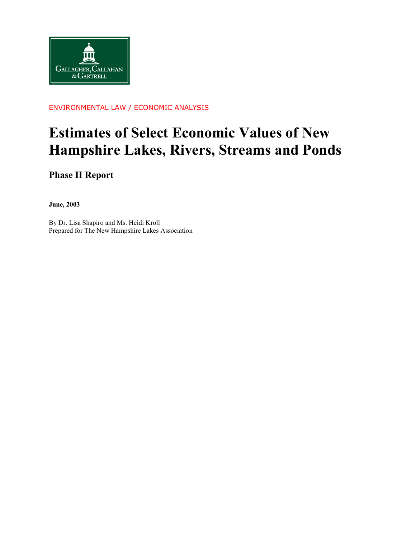

#### ENVIRONMENTAL LAW / ECONOMIC ANALYSIS

# **Estimates of Select Economic Values of New Hampshire Lakes, Rivers, Streams and Ponds**

**Phase II Report** 

**June, 2003** 

By Dr. Lisa Shapiro and Ms. Heidi Kroll Prepared for The New Hampshire Lakes Association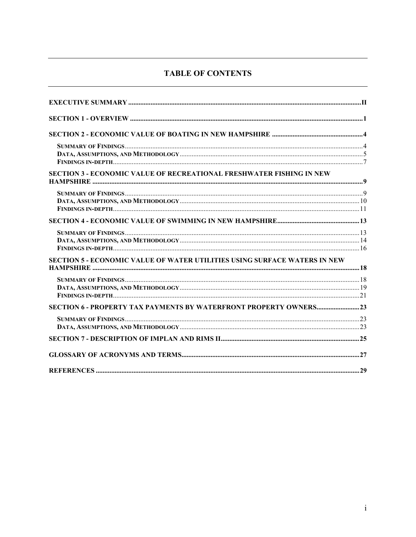# **TABLE OF CONTENTS**

| <b>SECTION 3 - ECONOMIC VALUE OF RECREATIONAL FRESHWATER FISHING IN NEW</b>      |  |
|----------------------------------------------------------------------------------|--|
|                                                                                  |  |
|                                                                                  |  |
|                                                                                  |  |
|                                                                                  |  |
|                                                                                  |  |
| <b>SECTION 5 - ECONOMIC VALUE OF WATER UTILITIES USING SURFACE WATERS IN NEW</b> |  |
|                                                                                  |  |
|                                                                                  |  |
|                                                                                  |  |
|                                                                                  |  |
|                                                                                  |  |
|                                                                                  |  |
|                                                                                  |  |
|                                                                                  |  |
|                                                                                  |  |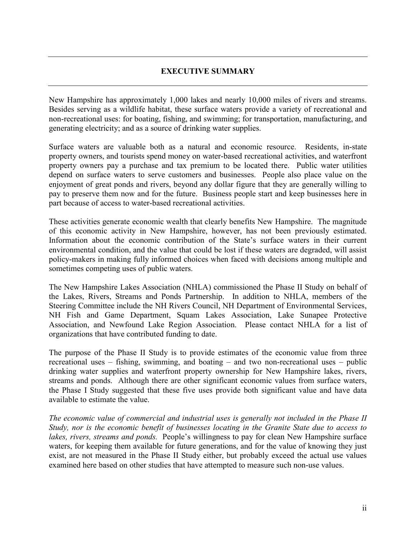#### **EXECUTIVE SUMMARY**

<span id="page-2-0"></span>New Hampshire has approximately 1,000 lakes and nearly 10,000 miles of rivers and streams. Besides serving as a wildlife habitat, these surface waters provide a variety of recreational and non-recreational uses: for boating, fishing, and swimming; for transportation, manufacturing, and generating electricity; and as a source of drinking water supplies.

Surface waters are valuable both as a natural and economic resource. Residents, in-state property owners, and tourists spend money on water-based recreational activities, and waterfront property owners pay a purchase and tax premium to be located there. Public water utilities depend on surface waters to serve customers and businesses. People also place value on the enjoyment of great ponds and rivers, beyond any dollar figure that they are generally willing to pay to preserve them now and for the future. Business people start and keep businesses here in part because of access to water-based recreational activities.

These activities generate economic wealth that clearly benefits New Hampshire. The magnitude of this economic activity in New Hampshire, however, has not been previously estimated. Information about the economic contribution of the State's surface waters in their current environmental condition, and the value that could be lost if these waters are degraded, will assist policy-makers in making fully informed choices when faced with decisions among multiple and sometimes competing uses of public waters.

The New Hampshire Lakes Association (NHLA) commissioned the Phase II Study on behalf of the Lakes, Rivers, Streams and Ponds Partnership. In addition to NHLA, members of the Steering Committee include the NH Rivers Council, NH Department of Environmental Services, NH Fish and Game Department, Squam Lakes Association, Lake Sunapee Protective Association, and Newfound Lake Region Association. Please contact NHLA for a list of organizations that have contributed funding to date.

The purpose of the Phase II Study is to provide estimates of the economic value from three recreational uses – fishing, swimming, and boating – and two non-recreational uses – public drinking water supplies and waterfront property ownership for New Hampshire lakes, rivers, streams and ponds. Although there are other significant economic values from surface waters, the Phase I Study suggested that these five uses provide both significant value and have data available to estimate the value.

*The economic value of commercial and industrial uses is generally not included in the Phase II Study, nor is the economic benefit of businesses locating in the Granite State due to access to lakes, rivers, streams and ponds.* People's willingness to pay for clean New Hampshire surface waters, for keeping them available for future generations, and for the value of knowing they just exist, are not measured in the Phase II Study either, but probably exceed the actual use values examined here based on other studies that have attempted to measure such non-use values.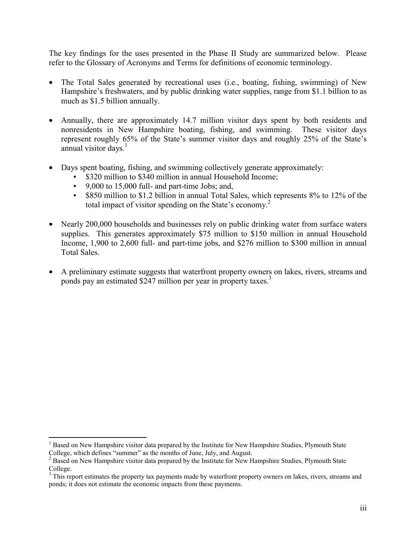The key findings for the uses presented in the Phase II Study are summarized below. Please refer to the Glossary of Acronyms and Terms for definitions of economic terminology.

- The Total Sales generated by recreational uses (i.e., boating, fishing, swimming) of New Hampshire's freshwaters, and by public drinking water supplies, range from \$1.1 billion to as much as \$1.5 billion annually.
- Annually, there are approximately 14.7 million visitor days spent by both residents and nonresidents in New Hampshire boating, fishing, and swimming. These visitor days represent roughly 65% of the State's summer visitor days and roughly 25% of the State's annual visitor days. $1$
- Days spent boating, fishing, and swimming collectively generate approximately:
	- \$320 million to \$340 million in annual Household Income;
	- 9,000 to 15,000 full- and part-time Jobs; and,
	- \$850 million to \$1.2 billion in annual Total Sales, which represents 8% to 12% of the total impact of visitor spending on the State's economy.<sup>2</sup>
- Nearly 200,000 households and businesses rely on public drinking water from surface waters supplies. This generates approximately \$75 million to \$150 million in annual Household Income, 1,900 to 2,600 full- and part-time jobs, and \$276 million to \$300 million in annual Total Sales.
- A preliminary estimate suggests that waterfront property owners on lakes, rivers, streams and ponds pay an estimated \$247 million per year in property taxes.<sup>3</sup>

 $\overline{a}$ 

<sup>&</sup>lt;sup>1</sup> Based on New Hampshire visitor data prepared by the Institute for New Hampshire Studies, Plymouth State College, which defines "summer" as the months of June, July, and August.

 $2^2$  Based on New Hampshire visitor data prepared by the Institute for New Hampshire Studies, Plymouth State

College.<br><sup>3</sup> This report estimates the property tax payments made by waterfront property owners on lakes, rivers, streams and ponds; it does not estimate the economic impacts from these payments.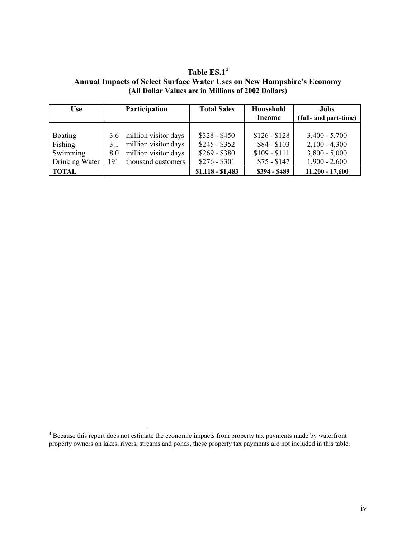| <b>Use</b>                                              |                          | <b>Participation</b>                                                                       | <b>Total Sales</b>                                               | Household<br><b>Income</b>                                     | Jobs<br>(full- and part-time)                                            |
|---------------------------------------------------------|--------------------------|--------------------------------------------------------------------------------------------|------------------------------------------------------------------|----------------------------------------------------------------|--------------------------------------------------------------------------|
| <b>Boating</b><br>Fishing<br>Swimming<br>Drinking Water | 3.6<br>3.1<br>8.0<br>191 | million visitor days<br>million visitor days<br>million visitor days<br>thousand customers | $$328 - $450$<br>$$245 - $352$<br>$$269 - $380$<br>$$276 - $301$ | $$126 - $128$<br>$$84 - $103$<br>$$109 - $111$<br>$$75 - $147$ | $3,400 - 5,700$<br>$2,100 - 4,300$<br>$3,800 - 5,000$<br>$1,900 - 2,600$ |
| <b>TOTAL</b>                                            |                          |                                                                                            | $$1,118 - $1,483$                                                | \$394 - \$489                                                  | $11,200 - 17,600$                                                        |

**Table ES.14 Annual Impacts of Select Surface Water Uses on New Hampshire's Economy (All Dollar Values are in Millions of 2002 Dollars)** 

<sup>&</sup>lt;sup>4</sup> Because this report does not estimate the economic impacts from property tax payments made by waterfront property owners on lakes, rivers, streams and ponds, these property tax payments are not included in this table.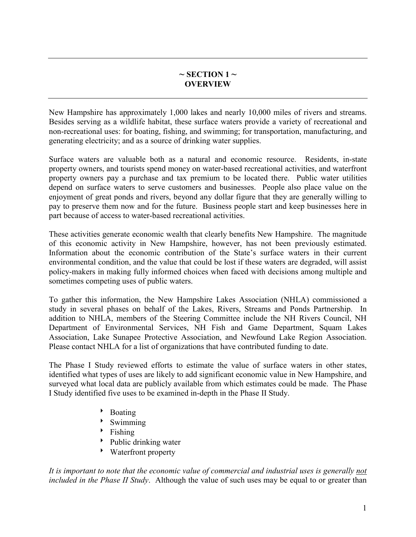# $\sim$  **SECTION** 1  $\sim$ **OVERVIEW**

<span id="page-5-0"></span>New Hampshire has approximately 1,000 lakes and nearly 10,000 miles of rivers and streams. Besides serving as a wildlife habitat, these surface waters provide a variety of recreational and non-recreational uses: for boating, fishing, and swimming; for transportation, manufacturing, and generating electricity; and as a source of drinking water supplies.

Surface waters are valuable both as a natural and economic resource. Residents, in-state property owners, and tourists spend money on water-based recreational activities, and waterfront property owners pay a purchase and tax premium to be located there. Public water utilities depend on surface waters to serve customers and businesses. People also place value on the enjoyment of great ponds and rivers, beyond any dollar figure that they are generally willing to pay to preserve them now and for the future. Business people start and keep businesses here in part because of access to water-based recreational activities.

These activities generate economic wealth that clearly benefits New Hampshire. The magnitude of this economic activity in New Hampshire, however, has not been previously estimated. Information about the economic contribution of the State's surface waters in their current environmental condition, and the value that could be lost if these waters are degraded, will assist policy-makers in making fully informed choices when faced with decisions among multiple and sometimes competing uses of public waters.

To gather this information, the New Hampshire Lakes Association (NHLA) commissioned a study in several phases on behalf of the Lakes, Rivers, Streams and Ponds Partnership. In addition to NHLA, members of the Steering Committee include the NH Rivers Council, NH Department of Environmental Services, NH Fish and Game Department, Squam Lakes Association, Lake Sunapee Protective Association, and Newfound Lake Region Association. Please contact NHLA for a list of organizations that have contributed funding to date.

The Phase I Study reviewed efforts to estimate the value of surface waters in other states, identified what types of uses are likely to add significant economic value in New Hampshire, and surveyed what local data are publicly available from which estimates could be made. The Phase I Study identified five uses to be examined in-depth in the Phase II Study.

- $\rightarrow$  Boating
- $\triangleright$  Swimming
- $\triangleright$  Fishing
- $\rightarrow$  Public drinking water
- 8 Waterfront property

*It is important to note that the economic value of commercial and industrial uses is generally not included in the Phase II Study*. Although the value of such uses may be equal to or greater than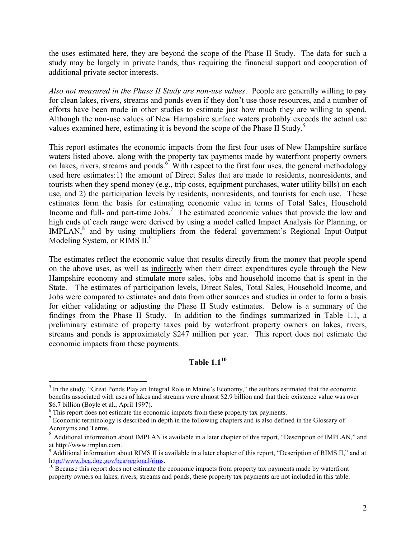the uses estimated here, they are beyond the scope of the Phase II Study. The data for such a study may be largely in private hands, thus requiring the financial support and cooperation of additional private sector interests.

*Also not measured in the Phase II Study are non-use values*. People are generally willing to pay for clean lakes, rivers, streams and ponds even if they don't use those resources, and a number of efforts have been made in other studies to estimate just how much they are willing to spend. Although the non-use values of New Hampshire surface waters probably exceeds the actual use values examined here, estimating it is beyond the scope of the Phase II Study.<sup>5</sup>

This report estimates the economic impacts from the first four uses of New Hampshire surface waters listed above, along with the property tax payments made by waterfront property owners on lakes, rivers, streams and ponds.<sup>6</sup> With respect to the first four uses, the general methodology used here estimates:1) the amount of Direct Sales that are made to residents, nonresidents, and tourists when they spend money (e.g., trip costs, equipment purchases, water utility bills) on each use, and 2) the participation levels by residents, nonresidents, and tourists for each use. These estimates form the basis for estimating economic value in terms of Total Sales, Household Income and full- and part-time Jobs.<sup>7</sup> The estimated economic values that provide the low and high ends of each range were derived by using a model called Impact Analysis for Planning, or IMPLAN,<sup>8</sup> and by using multipliers from the federal government's Regional Input-Output Modeling System, or RIMS II.<sup>9</sup>

The estimates reflect the economic value that results directly from the money that people spend on the above uses, as well as indirectly when their direct expenditures cycle through the New Hampshire economy and stimulate more sales, jobs and household income that is spent in the State. The estimates of participation levels, Direct Sales, Total Sales, Household Income, and Jobs were compared to estimates and data from other sources and studies in order to form a basis for either validating or adjusting the Phase II Study estimates. Below is a summary of the findings from the Phase II Study. In addition to the findings summarized in Table 1.1, a preliminary estimate of property taxes paid by waterfront property owners on lakes, rivers, streams and ponds is approximately \$247 million per year. This report does not estimate the economic impacts from these payments.

# **Table 1.1<sup>10</sup>**

<sup>&</sup>lt;sup>5</sup> In the study, "Great Ponds Play an Integral Role in Maine's Economy," the authors estimated that the economic benefits associated with uses of lakes and streams were almost \$2.9 billion and that their existence value was over \$6.7 billion (Boyle et al., April 1997).

<sup>&</sup>lt;sup>6</sup> This report does not estimate the economic impacts from these property tax payments.

<sup>&</sup>lt;sup>7</sup> Economic terminology is described in depth in the following chapters and is also defined in the Glossary of Acronyms and Terms.

<sup>&</sup>lt;sup>8</sup> Additional information about IMPLAN is available in a later chapter of this report, "Description of IMPLAN," and at http://www.implan.com.

<sup>&</sup>lt;sup>9</sup> Additional information about RIMS II is available in a later chapter of this report, "Description of RIMS II," and at http://www.bea.doc.gov/bea/regional/rims.<br><sup>10</sup> Because this report does not estimate the economic impacts from property tax payments made by waterfront

property owners on lakes, rivers, streams and ponds, these property tax payments are not included in this table.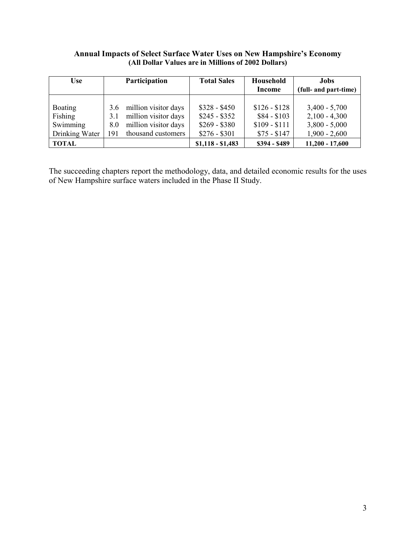#### **Annual Impacts of Select Surface Water Uses on New Hampshire's Economy (All Dollar Values are in Millions of 2002 Dollars)**

| <b>Use</b>     |     | Participation        | <b>Total Sales</b> | Household     | <b>Jobs</b>           |
|----------------|-----|----------------------|--------------------|---------------|-----------------------|
|                |     |                      |                    | <b>Income</b> | (full- and part-time) |
|                |     |                      |                    |               |                       |
| <b>Boating</b> | 3.6 | million visitor days | $$328 - $450$      | $$126 - $128$ | $3,400 - 5,700$       |
| Fishing        | 3.1 | million visitor days | $$245 - $352$      | $$84 - $103$  | $2,100 - 4,300$       |
| Swimming       | 8.0 | million visitor days | $$269 - $380$      | $$109 - $111$ | $3,800 - 5,000$       |
| Drinking Water | 191 | thousand customers   | $$276 - $301$      | $$75 - $147$  | $1,900 - 2,600$       |
| TOTAL          |     |                      | $$1,118 - $1,483$  | \$394 - \$489 | $11,200 - 17,600$     |

The succeeding chapters report the methodology, data, and detailed economic results for the uses of New Hampshire surface waters included in the Phase II Study.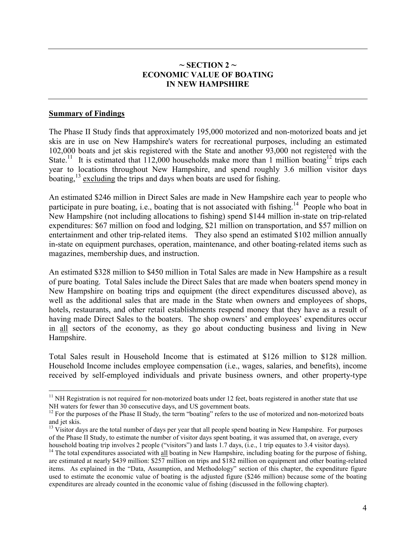# $\sim$  **SECTION 2**  $\sim$ **ECONOMIC VALUE OF BOATING IN NEW HAMPSHIRE**

#### <span id="page-8-0"></span>**Summary of Findings**

 $\overline{a}$ 

The Phase II Study finds that approximately 195,000 motorized and non-motorized boats and jet skis are in use on New Hampshire's waters for recreational purposes, including an estimated 102,000 boats and jet skis registered with the State and another 93,000 not registered with the State.<sup>11</sup> It is estimated that 112,000 households make more than 1 million boating<sup>12</sup> trips each year to locations throughout New Hampshire, and spend roughly 3.6 million visitor days boating,  $^{13}$  excluding the trips and days when boats are used for fishing.

An estimated \$246 million in Direct Sales are made in New Hampshire each year to people who participate in pure boating, i.e., boating that is not associated with fishing.<sup>14</sup> People who boat in New Hampshire (not including allocations to fishing) spend \$144 million in-state on trip-related expenditures: \$67 million on food and lodging, \$21 million on transportation, and \$57 million on entertainment and other trip-related items. They also spend an estimated \$102 million annually in-state on equipment purchases, operation, maintenance, and other boating-related items such as magazines, membership dues, and instruction.

An estimated \$328 million to \$450 million in Total Sales are made in New Hampshire as a result of pure boating. Total Sales include the Direct Sales that are made when boaters spend money in New Hampshire on boating trips and equipment (the direct expenditures discussed above), as well as the additional sales that are made in the State when owners and employees of shops, hotels, restaurants, and other retail establishments respend money that they have as a result of having made Direct Sales to the boaters. The shop owners' and employees' expenditures occur in all sectors of the economy, as they go about conducting business and living in New Hampshire.

Total Sales result in Household Income that is estimated at \$126 million to \$128 million. Household Income includes employee compensation (i.e., wages, salaries, and benefits), income received by self-employed individuals and private business owners, and other property-type

 $11$  NH Registration is not required for non-motorized boats under 12 feet, boats registered in another state that use NH waters for fewer than 30 consecutive days, and US government boats.

<sup>&</sup>lt;sup>12</sup> For the purposes of the Phase II Study, the term "boating" refers to the use of motorized and non-motorized boats and jet skis.

 $^{13}$  Visitor days are the total number of days per year that all people spend boating in New Hampshire. For purposes of the Phase II Study, to estimate the number of visitor days spent boating, it was assumed that, on average, every household boating trip involves 2 people ("visitors") and lasts 1.7 days, (i.e., 1 trip equates to 3.4 visitor days).

<sup>&</sup>lt;sup>14</sup> The total expenditures associated with all boating in New Hampshire, including boating for the purpose of fishing, are estimated at nearly \$439 million: \$257 million on trips and \$182 million on equipment and other boating-related items. As explained in the "Data, Assumption, and Methodology" section of this chapter, the expenditure figure used to estimate the economic value of boating is the adjusted figure (\$246 million) because some of the boating expenditures are already counted in the economic value of fishing (discussed in the following chapter).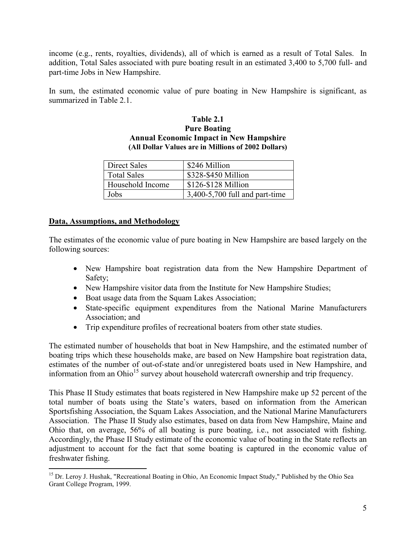<span id="page-9-0"></span>income (e.g., rents, royalties, dividends), all of which is earned as a result of Total Sales. In addition, Total Sales associated with pure boating result in an estimated 3,400 to 5,700 full- and part-time Jobs in New Hampshire.

In sum, the estimated economic value of pure boating in New Hampshire is significant, as summarized in Table 2.1.

#### **Table 2.1 Pure Boating Annual Economic Impact in New Hampshire (All Dollar Values are in Millions of 2002 Dollars)**

| <b>Direct Sales</b> | \$246 Million                    |
|---------------------|----------------------------------|
| <b>Total Sales</b>  | \$328-\$450 Million              |
| Household Income    | \$126-\$128 Million              |
| Jobs                | $3,400-5,700$ full and part-time |

# **Data, Assumptions, and Methodology**

The estimates of the economic value of pure boating in New Hampshire are based largely on the following sources:

- New Hampshire boat registration data from the New Hampshire Department of Safety;
- New Hampshire visitor data from the Institute for New Hampshire Studies;
- Boat usage data from the Squam Lakes Association;
- State-specific equipment expenditures from the National Marine Manufacturers Association; and
- Trip expenditure profiles of recreational boaters from other state studies.

The estimated number of households that boat in New Hampshire, and the estimated number of boating trips which these households make, are based on New Hampshire boat registration data, estimates of the number of out-of-state and/or unregistered boats used in New Hampshire, and information from an Ohio<sup>15</sup> survey about household watercraft ownership and trip frequency.

This Phase II Study estimates that boats registered in New Hampshire make up 52 percent of the total number of boats using the State's waters, based on information from the American Sportsfishing Association, the Squam Lakes Association, and the National Marine Manufacturers Association. The Phase II Study also estimates, based on data from New Hampshire, Maine and Ohio that, on average, 56% of all boating is pure boating, i.e., not associated with fishing. Accordingly, the Phase II Study estimate of the economic value of boating in the State reflects an adjustment to account for the fact that some boating is captured in the economic value of freshwater fishing.

 $\overline{a}$ <sup>15</sup> Dr. Leroy J. Hushak, "Recreational Boating in Ohio, An Economic Impact Study," Published by the Ohio Sea Grant College Program, 1999.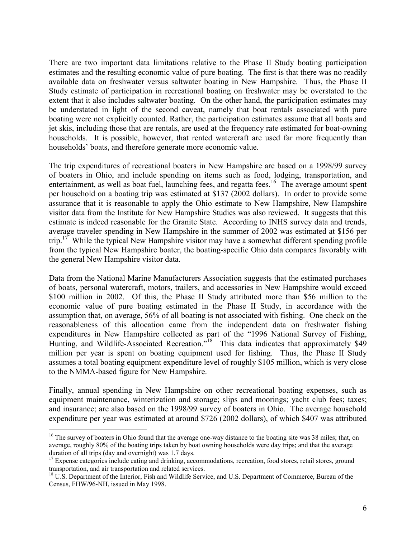There are two important data limitations relative to the Phase II Study boating participation estimates and the resulting economic value of pure boating. The first is that there was no readily available data on freshwater versus saltwater boating in New Hampshire. Thus, the Phase II Study estimate of participation in recreational boating on freshwater may be overstated to the extent that it also includes saltwater boating. On the other hand, the participation estimates may be understated in light of the second caveat, namely that boat rentals associated with pure boating were not explicitly counted. Rather, the participation estimates assume that all boats and jet skis, including those that are rentals, are used at the frequency rate estimated for boat-owning households. It is possible, however, that rented watercraft are used far more frequently than households' boats, and therefore generate more economic value.

The trip expenditures of recreational boaters in New Hampshire are based on a 1998/99 survey of boaters in Ohio, and include spending on items such as food, lodging, transportation, and entertainment, as well as boat fuel, launching fees, and regatta fees.<sup>16</sup> The average amount spent per household on a boating trip was estimated at \$137 (2002 dollars). In order to provide some assurance that it is reasonable to apply the Ohio estimate to New Hampshire, New Hampshire visitor data from the Institute for New Hampshire Studies was also reviewed. It suggests that this estimate is indeed reasonable for the Granite State. According to INHS survey data and trends, average traveler spending in New Hampshire in the summer of 2002 was estimated at \$156 per trip.<sup>17</sup> While the typical New Hampshire visitor may have a somewhat different spending profile from the typical New Hampshire boater, the boating-specific Ohio data compares favorably with the general New Hampshire visitor data.

Data from the National Marine Manufacturers Association suggests that the estimated purchases of boats, personal watercraft, motors, trailers, and accessories in New Hampshire would exceed \$100 million in 2002. Of this, the Phase II Study attributed more than \$56 million to the economic value of pure boating estimated in the Phase II Study, in accordance with the assumption that, on average, 56% of all boating is not associated with fishing. One check on the reasonableness of this allocation came from the independent data on freshwater fishing expenditures in New Hampshire collected as part of the "1996 National Survey of Fishing, Hunting, and Wildlife-Associated Recreation."<sup>18</sup> This data indicates that approximately \$49 million per year is spent on boating equipment used for fishing. Thus, the Phase II Study assumes a total boating equipment expenditure level of roughly \$105 million, which is very close to the NMMA-based figure for New Hampshire.

Finally, annual spending in New Hampshire on other recreational boating expenses, such as equipment maintenance, winterization and storage; slips and moorings; yacht club fees; taxes; and insurance; are also based on the 1998/99 survey of boaters in Ohio. The average household expenditure per year was estimated at around \$726 (2002 dollars), of which \$407 was attributed

 $\overline{a}$ 

<sup>&</sup>lt;sup>16</sup> The survey of boaters in Ohio found that the average one-way distance to the boating site was 38 miles; that, on average, roughly 80% of the boating trips taken by boat owning households were day trips; and that the average duration of all trips (day and overnight) was 1.7 days.

 $17$  Expense categories include eating and drinking, accommodations, recreation, food stores, retail stores, ground transportation, and air transportation and related services.

<sup>&</sup>lt;sup>18</sup> U.S. Department of the Interior, Fish and Wildlife Service, and U.S. Department of Commerce, Bureau of the Census, FHW/96-NH, issued in May 1998.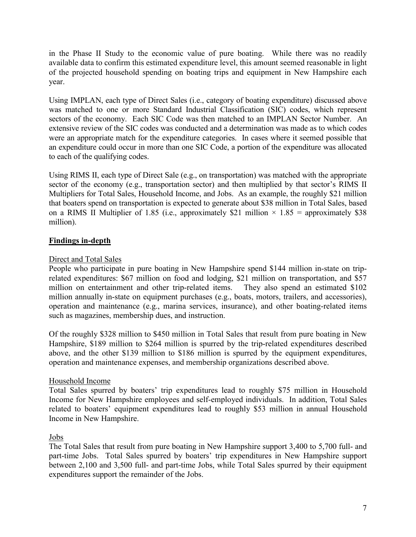<span id="page-11-0"></span>in the Phase II Study to the economic value of pure boating. While there was no readily available data to confirm this estimated expenditure level, this amount seemed reasonable in light of the projected household spending on boating trips and equipment in New Hampshire each year.

Using IMPLAN, each type of Direct Sales (i.e., category of boating expenditure) discussed above was matched to one or more Standard Industrial Classification (SIC) codes, which represent sectors of the economy. Each SIC Code was then matched to an IMPLAN Sector Number. An extensive review of the SIC codes was conducted and a determination was made as to which codes were an appropriate match for the expenditure categories. In cases where it seemed possible that an expenditure could occur in more than one SIC Code, a portion of the expenditure was allocated to each of the qualifying codes.

Using RIMS II, each type of Direct Sale (e.g., on transportation) was matched with the appropriate sector of the economy (e.g., transportation sector) and then multiplied by that sector's RIMS II Multipliers for Total Sales, Household Income, and Jobs. As an example, the roughly \$21 million that boaters spend on transportation is expected to generate about \$38 million in Total Sales, based on a RIMS II Multiplier of 1.85 (i.e., approximately \$21 million  $\times$  1.85 = approximately \$38 million).

# **Findings in-depth**

# Direct and Total Sales

People who participate in pure boating in New Hampshire spend \$144 million in-state on triprelated expenditures: \$67 million on food and lodging, \$21 million on transportation, and \$57 million on entertainment and other trip-related items. They also spend an estimated \$102 million annually in-state on equipment purchases (e.g., boats, motors, trailers, and accessories), operation and maintenance (e.g., marina services, insurance), and other boating-related items such as magazines, membership dues, and instruction.

Of the roughly \$328 million to \$450 million in Total Sales that result from pure boating in New Hampshire, \$189 million to \$264 million is spurred by the trip-related expenditures described above, and the other \$139 million to \$186 million is spurred by the equipment expenditures, operation and maintenance expenses, and membership organizations described above.

# Household Income

Total Sales spurred by boaters' trip expenditures lead to roughly \$75 million in Household Income for New Hampshire employees and self-employed individuals. In addition, Total Sales related to boaters' equipment expenditures lead to roughly \$53 million in annual Household Income in New Hampshire.

# Jobs

The Total Sales that result from pure boating in New Hampshire support 3,400 to 5,700 full- and part-time Jobs. Total Sales spurred by boaters' trip expenditures in New Hampshire support between 2,100 and 3,500 full- and part-time Jobs, while Total Sales spurred by their equipment expenditures support the remainder of the Jobs.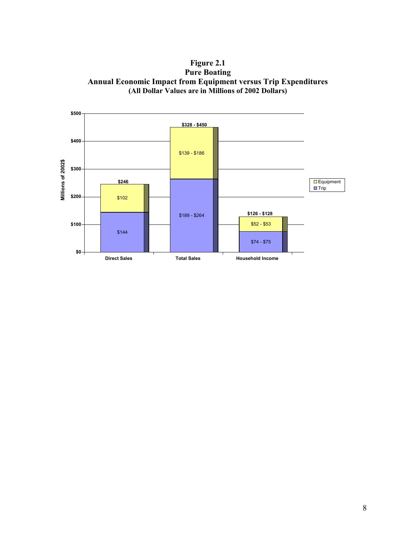**Figure 2.1 Pure Boating Annual Economic Impact from Equipment versus Trip Expenditures (All Dollar Values are in Millions of 2002 Dollars)** 

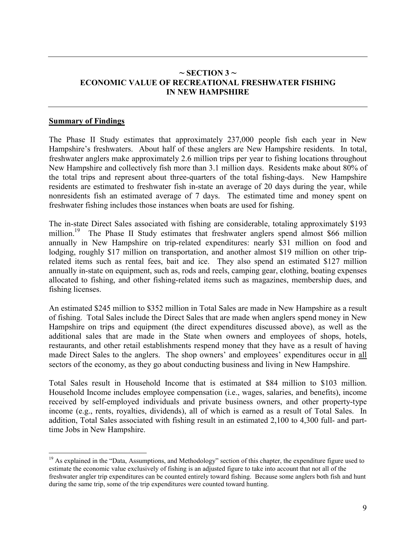# <span id="page-13-0"></span> $\sim$  **SECTION 3**  $\sim$ **ECONOMIC VALUE OF RECREATIONAL FRESHWATER FISHING IN NEW HAMPSHIRE**

#### **Summary of Findings**

1

The Phase II Study estimates that approximately 237,000 people fish each year in New Hampshire's freshwaters. About half of these anglers are New Hampshire residents. In total, freshwater anglers make approximately 2.6 million trips per year to fishing locations throughout New Hampshire and collectively fish more than 3.1 million days. Residents make about 80% of the total trips and represent about three-quarters of the total fishing-days. New Hampshire residents are estimated to freshwater fish in-state an average of 20 days during the year, while nonresidents fish an estimated average of 7 days. The estimated time and money spent on freshwater fishing includes those instances when boats are used for fishing.

The in-state Direct Sales associated with fishing are considerable, totaling approximately \$193 million.<sup>19</sup> The Phase II Study estimates that freshwater anglers spend almost \$66 million annually in New Hampshire on trip-related expenditures: nearly \$31 million on food and lodging, roughly \$17 million on transportation, and another almost \$19 million on other triprelated items such as rental fees, bait and ice. They also spend an estimated \$127 million annually in-state on equipment, such as, rods and reels, camping gear, clothing, boating expenses allocated to fishing, and other fishing-related items such as magazines, membership dues, and fishing licenses.

An estimated \$245 million to \$352 million in Total Sales are made in New Hampshire as a result of fishing. Total Sales include the Direct Sales that are made when anglers spend money in New Hampshire on trips and equipment (the direct expenditures discussed above), as well as the additional sales that are made in the State when owners and employees of shops, hotels, restaurants, and other retail establishments respend money that they have as a result of having made Direct Sales to the anglers. The shop owners' and employees' expenditures occur in all sectors of the economy, as they go about conducting business and living in New Hampshire.

Total Sales result in Household Income that is estimated at \$84 million to \$103 million. Household Income includes employee compensation (i.e., wages, salaries, and benefits), income received by self-employed individuals and private business owners, and other property-type income (e.g., rents, royalties, dividends), all of which is earned as a result of Total Sales. In addition, Total Sales associated with fishing result in an estimated 2,100 to 4,300 full- and parttime Jobs in New Hampshire.

<sup>&</sup>lt;sup>19</sup> As explained in the "Data, Assumptions, and Methodology" section of this chapter, the expenditure figure used to estimate the economic value exclusively of fishing is an adjusted figure to take into account that not all of the freshwater angler trip expenditures can be counted entirely toward fishing. Because some anglers both fish and hunt during the same trip, some of the trip expenditures were counted toward hunting.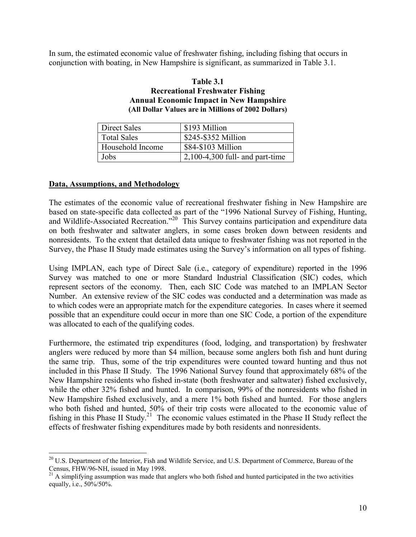<span id="page-14-0"></span>In sum, the estimated economic value of freshwater fishing, including fishing that occurs in conjunction with boating, in New Hampshire is significant, as summarized in Table 3.1.

#### **Table 3.1 Recreational Freshwater Fishing Annual Economic Impact in New Hampshire (All Dollar Values are in Millions of 2002 Dollars)**

| Direct Sales       | \$193 Million                     |
|--------------------|-----------------------------------|
| <b>Total Sales</b> | \$245-\$352 Million               |
| Household Income   | \$84-\$103 Million                |
| Jobs               | $2,100-4,300$ full- and part-time |

#### **Data, Assumptions, and Methodology**

 $\overline{a}$ 

The estimates of the economic value of recreational freshwater fishing in New Hampshire are based on state-specific data collected as part of the "1996 National Survey of Fishing, Hunting, and Wildlife-Associated Recreation.<sup>20</sup> This Survey contains participation and expenditure data on both freshwater and saltwater anglers, in some cases broken down between residents and nonresidents. To the extent that detailed data unique to freshwater fishing was not reported in the Survey, the Phase II Study made estimates using the Survey's information on all types of fishing.

Using IMPLAN, each type of Direct Sale (i.e., category of expenditure) reported in the 1996 Survey was matched to one or more Standard Industrial Classification (SIC) codes, which represent sectors of the economy. Then, each SIC Code was matched to an IMPLAN Sector Number. An extensive review of the SIC codes was conducted and a determination was made as to which codes were an appropriate match for the expenditure categories. In cases where it seemed possible that an expenditure could occur in more than one SIC Code, a portion of the expenditure was allocated to each of the qualifying codes.

Furthermore, the estimated trip expenditures (food, lodging, and transportation) by freshwater anglers were reduced by more than \$4 million, because some anglers both fish and hunt during the same trip. Thus, some of the trip expenditures were counted toward hunting and thus not included in this Phase II Study. The 1996 National Survey found that approximately 68% of the New Hampshire residents who fished in-state (both freshwater and saltwater) fished exclusively, while the other 32% fished and hunted. In comparison, 99% of the nonresidents who fished in New Hampshire fished exclusively, and a mere 1% both fished and hunted. For those anglers who both fished and hunted, 50% of their trip costs were allocated to the economic value of fishing in this Phase II Study.21 The economic values estimated in the Phase II Study reflect the effects of freshwater fishing expenditures made by both residents and nonresidents.

<sup>&</sup>lt;sup>20</sup> U.S. Department of the Interior, Fish and Wildlife Service, and U.S. Department of Commerce, Bureau of the Census, FHW/96-NH, issued in May 1998.

 $2<sup>1</sup>$  A simplifying assumption was made that anglers who both fished and hunted participated in the two activities equally, i.e., 50%/50%.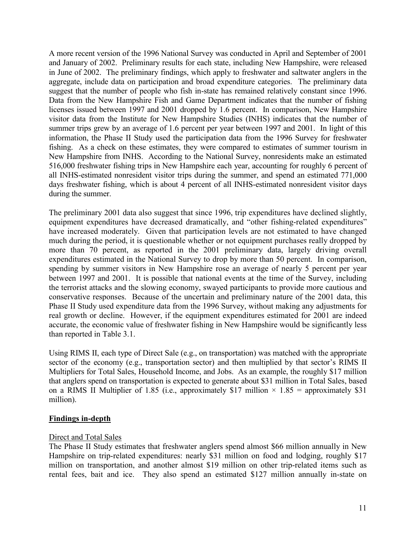<span id="page-15-0"></span>A more recent version of the 1996 National Survey was conducted in April and September of 2001 and January of 2002. Preliminary results for each state, including New Hampshire, were released in June of 2002. The preliminary findings, which apply to freshwater and saltwater anglers in the aggregate, include data on participation and broad expenditure categories. The preliminary data suggest that the number of people who fish in-state has remained relatively constant since 1996. Data from the New Hampshire Fish and Game Department indicates that the number of fishing licenses issued between 1997 and 2001 dropped by 1.6 percent. In comparison, New Hampshire visitor data from the Institute for New Hampshire Studies (INHS) indicates that the number of summer trips grew by an average of 1.6 percent per year between 1997 and 2001. In light of this information, the Phase II Study used the participation data from the 1996 Survey for freshwater fishing. As a check on these estimates, they were compared to estimates of summer tourism in New Hampshire from INHS. According to the National Survey, nonresidents make an estimated 516,000 freshwater fishing trips in New Hampshire each year, accounting for roughly 6 percent of all INHS-estimated nonresident visitor trips during the summer, and spend an estimated 771,000 days freshwater fishing, which is about 4 percent of all INHS-estimated nonresident visitor days during the summer.

The preliminary 2001 data also suggest that since 1996, trip expenditures have declined slightly, equipment expenditures have decreased dramatically, and "other fishing-related expenditures" have increased moderately. Given that participation levels are not estimated to have changed much during the period, it is questionable whether or not equipment purchases really dropped by more than 70 percent, as reported in the 2001 preliminary data, largely driving overall expenditures estimated in the National Survey to drop by more than 50 percent. In comparison, spending by summer visitors in New Hampshire rose an average of nearly 5 percent per year between 1997 and 2001. It is possible that national events at the time of the Survey, including the terrorist attacks and the slowing economy, swayed participants to provide more cautious and conservative responses. Because of the uncertain and preliminary nature of the 2001 data, this Phase II Study used expenditure data from the 1996 Survey, without making any adjustments for real growth or decline. However, if the equipment expenditures estimated for 2001 are indeed accurate, the economic value of freshwater fishing in New Hampshire would be significantly less than reported in Table 3.1.

Using RIMS II, each type of Direct Sale (e.g., on transportation) was matched with the appropriate sector of the economy (e.g., transportation sector) and then multiplied by that sector's RIMS II Multipliers for Total Sales, Household Income, and Jobs. As an example, the roughly \$17 million that anglers spend on transportation is expected to generate about \$31 million in Total Sales, based on a RIMS II Multiplier of 1.85 (i.e., approximately \$17 million  $\times$  1.85 = approximately \$31 million).

# **Findings in-depth**

#### Direct and Total Sales

The Phase II Study estimates that freshwater anglers spend almost \$66 million annually in New Hampshire on trip-related expenditures: nearly \$31 million on food and lodging, roughly \$17 million on transportation, and another almost \$19 million on other trip-related items such as rental fees, bait and ice. They also spend an estimated \$127 million annually in-state on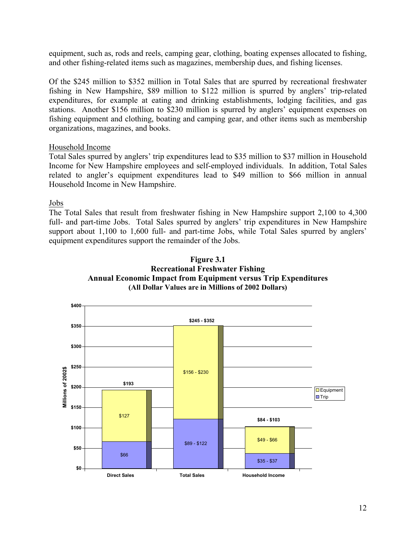equipment, such as, rods and reels, camping gear, clothing, boating expenses allocated to fishing, and other fishing-related items such as magazines, membership dues, and fishing licenses.

Of the \$245 million to \$352 million in Total Sales that are spurred by recreational freshwater fishing in New Hampshire, \$89 million to \$122 million is spurred by anglers' trip-related expenditures, for example at eating and drinking establishments, lodging facilities, and gas stations. Another \$156 million to \$230 million is spurred by anglers' equipment expenses on fishing equipment and clothing, boating and camping gear, and other items such as membership organizations, magazines, and books.

#### Household Income

Total Sales spurred by anglers' trip expenditures lead to \$35 million to \$37 million in Household Income for New Hampshire employees and self-employed individuals. In addition, Total Sales related to angler's equipment expenditures lead to \$49 million to \$66 million in annual Household Income in New Hampshire.

Jobs

The Total Sales that result from freshwater fishing in New Hampshire support 2,100 to 4,300 full- and part-time Jobs. Total Sales spurred by anglers' trip expenditures in New Hampshire support about 1,100 to 1,600 full- and part-time Jobs, while Total Sales spurred by anglers' equipment expenditures support the remainder of the Jobs.



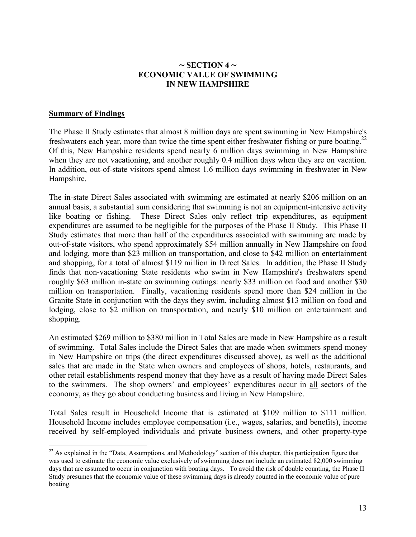# $\sim$  SECTION 4  $\sim$ **ECONOMIC VALUE OF SWIMMING IN NEW HAMPSHIRE**

## <span id="page-17-0"></span>**Summary of Findings**

1

The Phase II Study estimates that almost 8 million days are spent swimming in New Hampshire's freshwaters each year, more than twice the time spent either freshwater fishing or pure boating.<sup>22</sup> Of this, New Hampshire residents spend nearly 6 million days swimming in New Hampshire when they are not vacationing, and another roughly 0.4 million days when they are on vacation. In addition, out-of-state visitors spend almost 1.6 million days swimming in freshwater in New Hampshire.

The in-state Direct Sales associated with swimming are estimated at nearly \$206 million on an annual basis, a substantial sum considering that swimming is not an equipment-intensive activity like boating or fishing. These Direct Sales only reflect trip expenditures, as equipment expenditures are assumed to be negligible for the purposes of the Phase II Study. This Phase II Study estimates that more than half of the expenditures associated with swimming are made by out-of-state visitors, who spend approximately \$54 million annually in New Hampshire on food and lodging, more than \$23 million on transportation, and close to \$42 million on entertainment and shopping, for a total of almost \$119 million in Direct Sales. In addition, the Phase II Study finds that non-vacationing State residents who swim in New Hampshire's freshwaters spend roughly \$63 million in-state on swimming outings: nearly \$33 million on food and another \$30 million on transportation. Finally, vacationing residents spend more than \$24 million in the Granite State in conjunction with the days they swim, including almost \$13 million on food and lodging, close to \$2 million on transportation, and nearly \$10 million on entertainment and shopping.

An estimated \$269 million to \$380 million in Total Sales are made in New Hampshire as a result of swimming. Total Sales include the Direct Sales that are made when swimmers spend money in New Hampshire on trips (the direct expenditures discussed above), as well as the additional sales that are made in the State when owners and employees of shops, hotels, restaurants, and other retail establishments respend money that they have as a result of having made Direct Sales to the swimmers. The shop owners' and employees' expenditures occur in all sectors of the economy, as they go about conducting business and living in New Hampshire.

Total Sales result in Household Income that is estimated at \$109 million to \$111 million. Household Income includes employee compensation (i.e., wages, salaries, and benefits), income received by self-employed individuals and private business owners, and other property-type

 $^{22}$  As explained in the "Data, Assumptions, and Methodology" section of this chapter, this participation figure that was used to estimate the economic value exclusively of swimming does not include an estimated 82,000 swimming days that are assumed to occur in conjunction with boating days. To avoid the risk of double counting, the Phase II Study presumes that the economic value of these swimming days is already counted in the economic value of pure boating.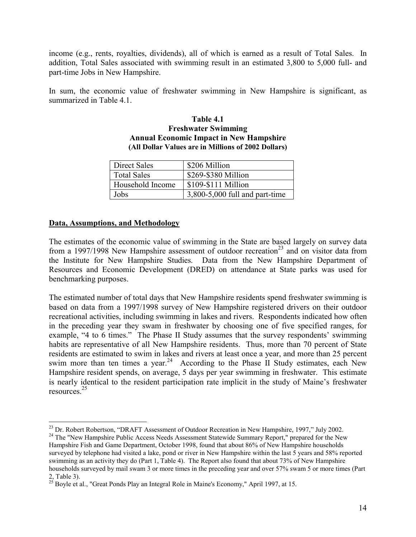<span id="page-18-0"></span>income (e.g., rents, royalties, dividends), all of which is earned as a result of Total Sales. In addition, Total Sales associated with swimming result in an estimated 3,800 to 5,000 full- and part-time Jobs in New Hampshire.

In sum, the economic value of freshwater swimming in New Hampshire is significant, as summarized in Table 4.1.

#### **Table 4.1 Freshwater Swimming Annual Economic Impact in New Hampshire (All Dollar Values are in Millions of 2002 Dollars)**

| <b>Direct Sales</b> | \$206 Million                  |
|---------------------|--------------------------------|
| <b>Total Sales</b>  | \$269-\$380 Million            |
| Household Income    | \$109-\$111 Million            |
| Jobs                | 3,800-5,000 full and part-time |

#### **Data, Assumptions, and Methodology**

The estimates of the economic value of swimming in the State are based largely on survey data from a 1997/1998 New Hampshire assessment of outdoor recreation<sup>23</sup> and on visitor data from the Institute for New Hampshire Studies. Data from the New Hampshire Department of Resources and Economic Development (DRED) on attendance at State parks was used for benchmarking purposes.

The estimated number of total days that New Hampshire residents spend freshwater swimming is based on data from a 1997/1998 survey of New Hampshire registered drivers on their outdoor recreational activities, including swimming in lakes and rivers. Respondents indicated how often in the preceding year they swam in freshwater by choosing one of five specified ranges, for example, "4 to 6 times." The Phase II Study assumes that the survey respondents' swimming habits are representative of all New Hampshire residents. Thus, more than 70 percent of State residents are estimated to swim in lakes and rivers at least once a year, and more than 25 percent swim more than ten times a year.<sup>24</sup> According to the Phase II Study estimates, each New Hampshire resident spends, on average, 5 days per year swimming in freshwater. This estimate is nearly identical to the resident participation rate implicit in the study of Maine's freshwater resources.25

 $\overline{a}$  $^{23}$  Dr. Robert Robertson, "DRAFT Assessment of Outdoor Recreation in New Hampshire, 1997," July 2002.

<sup>&</sup>lt;sup>24</sup> The "New Hampshire Public Access Needs Assessment Statewide Summary Report," prepared for the New Hampshire Fish and Game Department, October 1998, found that about 86% of New Hampshire households surveyed by telephone had visited a lake, pond or river in New Hampshire within the last 5 years and 58% reported swimming as an activity they do (Part 1, Table 4). The Report also found that about 73% of New Hampshire households surveyed by mail swam 3 or more times in the preceding year and over 57% swam 5 or more times (Part 2, Table 3).

 $^{25}$  Boyle et al., "Great Ponds Play an Integral Role in Maine's Economy," April 1997, at 15.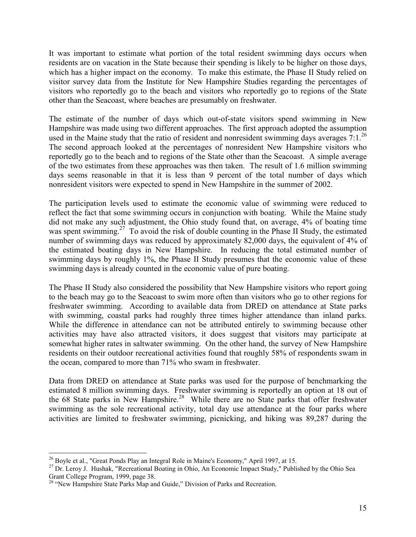It was important to estimate what portion of the total resident swimming days occurs when residents are on vacation in the State because their spending is likely to be higher on those days, which has a higher impact on the economy. To make this estimate, the Phase II Study relied on visitor survey data from the Institute for New Hampshire Studies regarding the percentages of visitors who reportedly go to the beach and visitors who reportedly go to regions of the State other than the Seacoast, where beaches are presumably on freshwater.

The estimate of the number of days which out-of-state visitors spend swimming in New Hampshire was made using two different approaches. The first approach adopted the assumption used in the Maine study that the ratio of resident and nonresident swimming days averages  $7:1.^{26}$ The second approach looked at the percentages of nonresident New Hampshire visitors who reportedly go to the beach and to regions of the State other than the Seacoast. A simple average of the two estimates from these approaches was then taken. The result of 1.6 million swimming days seems reasonable in that it is less than 9 percent of the total number of days which nonresident visitors were expected to spend in New Hampshire in the summer of 2002.

The participation levels used to estimate the economic value of swimming were reduced to reflect the fact that some swimming occurs in conjunction with boating. While the Maine study did not make any such adjustment, the Ohio study found that, on average, 4% of boating time was spent swimming.<sup>27</sup> To avoid the risk of double counting in the Phase II Study, the estimated number of swimming days was reduced by approximately 82,000 days, the equivalent of 4% of the estimated boating days in New Hampshire. In reducing the total estimated number of swimming days by roughly 1%, the Phase II Study presumes that the economic value of these swimming days is already counted in the economic value of pure boating.

The Phase II Study also considered the possibility that New Hampshire visitors who report going to the beach may go to the Seacoast to swim more often than visitors who go to other regions for freshwater swimming. According to available data from DRED on attendance at State parks with swimming, coastal parks had roughly three times higher attendance than inland parks. While the difference in attendance can not be attributed entirely to swimming because other activities may have also attracted visitors, it does suggest that visitors may participate at somewhat higher rates in saltwater swimming. On the other hand, the survey of New Hampshire residents on their outdoor recreational activities found that roughly 58% of respondents swam in the ocean, compared to more than 71% who swam in freshwater.

Data from DRED on attendance at State parks was used for the purpose of benchmarking the estimated 8 million swimming days. Freshwater swimming is reportedly an option at 18 out of the 68 State parks in New Hampshire.<sup>28</sup> While there are no State parks that offer freshwater swimming as the sole recreational activity, total day use attendance at the four parks where activities are limited to freshwater swimming, picnicking, and hiking was 89,287 during the

 $\overline{a}$ 

<sup>&</sup>lt;sup>26</sup> Boyle et al., "Great Ponds Play an Integral Role in Maine's Economy," April 1997, at 15.

<sup>&</sup>lt;sup>27</sup> Dr. Leroy J. Hushak, "Recreational Boating in Ohio, An Economic Impact Study," Published by the Ohio Sea Grant College Program, 1999, page 38.

<sup>&</sup>lt;sup>28</sup> "New Hampshire State Parks Map and Guide," Division of Parks and Recreation.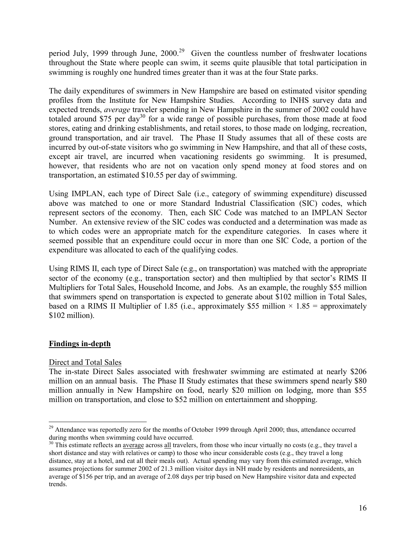<span id="page-20-0"></span>period July, 1999 through June,  $2000^{29}$  Given the countless number of freshwater locations throughout the State where people can swim, it seems quite plausible that total participation in swimming is roughly one hundred times greater than it was at the four State parks.

The daily expenditures of swimmers in New Hampshire are based on estimated visitor spending profiles from the Institute for New Hampshire Studies. According to INHS survey data and expected trends, *average* traveler spending in New Hampshire in the summer of 2002 could have totaled around \$75 per day<sup>30</sup> for a wide range of possible purchases, from those made at food stores, eating and drinking establishments, and retail stores, to those made on lodging, recreation, ground transportation, and air travel. The Phase II Study assumes that all of these costs are incurred by out-of-state visitors who go swimming in New Hampshire, and that all of these costs, except air travel, are incurred when vacationing residents go swimming. It is presumed, however, that residents who are not on vacation only spend money at food stores and on transportation, an estimated \$10.55 per day of swimming.

Using IMPLAN, each type of Direct Sale (i.e., category of swimming expenditure) discussed above was matched to one or more Standard Industrial Classification (SIC) codes, which represent sectors of the economy. Then, each SIC Code was matched to an IMPLAN Sector Number. An extensive review of the SIC codes was conducted and a determination was made as to which codes were an appropriate match for the expenditure categories. In cases where it seemed possible that an expenditure could occur in more than one SIC Code, a portion of the expenditure was allocated to each of the qualifying codes.

Using RIMS II, each type of Direct Sale (e.g., on transportation) was matched with the appropriate sector of the economy (e.g., transportation sector) and then multiplied by that sector's RIMS II Multipliers for Total Sales, Household Income, and Jobs. As an example, the roughly \$55 million that swimmers spend on transportation is expected to generate about \$102 million in Total Sales, based on a RIMS II Multiplier of 1.85 (i.e., approximately \$55 million  $\times$  1.85 = approximately \$102 million).

# **Findings in-depth**

# Direct and Total Sales

The in-state Direct Sales associated with freshwater swimming are estimated at nearly \$206 million on an annual basis. The Phase II Study estimates that these swimmers spend nearly \$80 million annually in New Hampshire on food, nearly \$20 million on lodging, more than \$55 million on transportation, and close to \$52 million on entertainment and shopping.

 $\overline{a}$ <sup>29</sup> Attendance was reportedly zero for the months of October 1999 through April 2000; thus, attendance occurred during months when swimming could have occurred.

 $30$  This estimate reflects an average across all travelers, from those who incur virtually no costs (e.g., they travel a short distance and stay with relatives or camp) to those who incur considerable costs (e.g., they travel a long distance, stay at a hotel, and eat all their meals out). Actual spending may vary from this estimated average, which assumes projections for summer 2002 of 21.3 million visitor days in NH made by residents and nonresidents, an average of \$156 per trip, and an average of 2.08 days per trip based on New Hampshire visitor data and expected trends.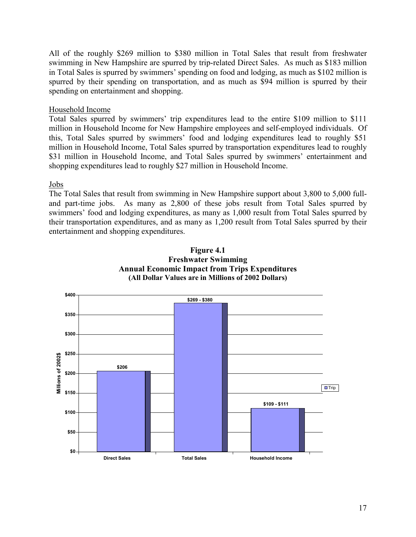All of the roughly \$269 million to \$380 million in Total Sales that result from freshwater swimming in New Hampshire are spurred by trip-related Direct Sales. As much as \$183 million in Total Sales is spurred by swimmers' spending on food and lodging, as much as \$102 million is spurred by their spending on transportation, and as much as \$94 million is spurred by their spending on entertainment and shopping.

#### Household Income

Total Sales spurred by swimmers' trip expenditures lead to the entire \$109 million to \$111 million in Household Income for New Hampshire employees and self-employed individuals. Of this, Total Sales spurred by swimmers' food and lodging expenditures lead to roughly \$51 million in Household Income, Total Sales spurred by transportation expenditures lead to roughly \$31 million in Household Income, and Total Sales spurred by swimmers' entertainment and shopping expenditures lead to roughly \$27 million in Household Income.

#### Jobs

The Total Sales that result from swimming in New Hampshire support about 3,800 to 5,000 fulland part-time jobs. As many as 2,800 of these jobs result from Total Sales spurred by swimmers' food and lodging expenditures, as many as 1,000 result from Total Sales spurred by their transportation expenditures, and as many as 1,200 result from Total Sales spurred by their entertainment and shopping expenditures.



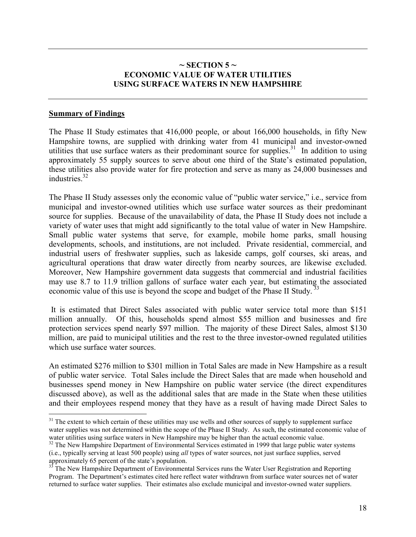## $\sim$  **SECTION 5**  $\sim$ **ECONOMIC VALUE OF WATER UTILITIES USING SURFACE WATERS IN NEW HAMPSHIRE**

#### <span id="page-22-0"></span>**Summary of Findings**

 $\overline{a}$ 

The Phase II Study estimates that 416,000 people, or about 166,000 households, in fifty New Hampshire towns, are supplied with drinking water from 41 municipal and investor-owned utilities that use surface waters as their predominant source for supplies.<sup>31</sup> In addition to using approximately 55 supply sources to serve about one third of the State's estimated population, these utilities also provide water for fire protection and serve as many as 24,000 businesses and industries.32

The Phase II Study assesses only the economic value of "public water service," i.e., service from municipal and investor-owned utilities which use surface water sources as their predominant source for supplies. Because of the unavailability of data, the Phase II Study does not include a variety of water uses that might add significantly to the total value of water in New Hampshire. Small public water systems that serve, for example, mobile home parks, small housing developments, schools, and institutions, are not included. Private residential, commercial, and industrial users of freshwater supplies, such as lakeside camps, golf courses, ski areas, and agricultural operations that draw water directly from nearby sources, are likewise excluded. Moreover, New Hampshire government data suggests that commercial and industrial facilities may use 8.7 to 11.9 trillion gallons of surface water each year, but estimating the associated economic value of this use is beyond the scope and budget of the Phase II Study.<sup>33</sup>

 It is estimated that Direct Sales associated with public water service total more than \$151 million annually. Of this, households spend almost \$55 million and businesses and fire protection services spend nearly \$97 million. The majority of these Direct Sales, almost \$130 million, are paid to municipal utilities and the rest to the three investor-owned regulated utilities which use surface water sources.

An estimated \$276 million to \$301 million in Total Sales are made in New Hampshire as a result of public water service. Total Sales include the Direct Sales that are made when household and businesses spend money in New Hampshire on public water service (the direct expenditures discussed above), as well as the additional sales that are made in the State when these utilities and their employees respend money that they have as a result of having made Direct Sales to

 $31$  The extent to which certain of these utilities may use wells and other sources of supply to supplement surface water supplies was not determined within the scope of the Phase II Study. As such, the estimated economic value of water utilities using surface waters in New Hampshire may be higher than the actual economic value.

 $32$  The New Hampshire Department of Environmental Services estimated in 1999 that large public water systems (i.e., typically serving at least 500 people) using *all* types of water sources, not just surface supplies, served approximately 65 percent of the state's population.

<sup>&</sup>lt;sup>33</sup> The New Hampshire Department of Environmental Services runs the Water User Registration and Reporting Program. The Department's estimates cited here reflect water withdrawn from surface water sources net of water returned to surface water supplies. Their estimates also exclude municipal and investor-owned water suppliers.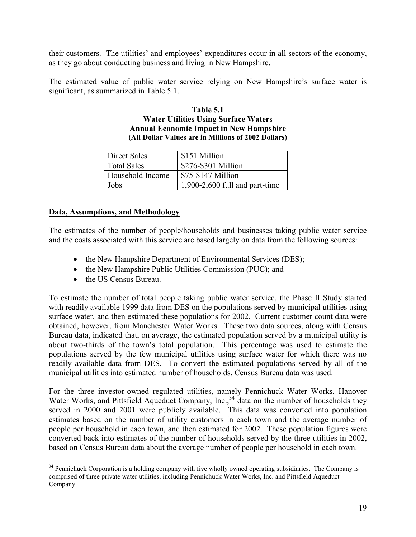<span id="page-23-0"></span>their customers. The utilities' and employees' expenditures occur in all sectors of the economy, as they go about conducting business and living in New Hampshire.

The estimated value of public water service relying on New Hampshire's surface water is significant, as summarized in Table 5.1.

#### **Table 5.1 Water Utilities Using Surface Waters Annual Economic Impact in New Hampshire (All Dollar Values are in Millions of 2002 Dollars)**

| <b>Direct Sales</b> | \$151 Million                    |
|---------------------|----------------------------------|
| <b>Total Sales</b>  | \$276-\$301 Million              |
| Household Income    | \$75-\$147 Million               |
| Jobs                | $1,900-2,600$ full and part-time |

# **Data, Assumptions, and Methodology**

The estimates of the number of people/households and businesses taking public water service and the costs associated with this service are based largely on data from the following sources:

- the New Hampshire Department of Environmental Services (DES);
- the New Hampshire Public Utilities Commission (PUC); and
- the US Census Bureau.

To estimate the number of total people taking public water service, the Phase II Study started with readily available 1999 data from DES on the populations served by municipal utilities using surface water, and then estimated these populations for 2002. Current customer count data were obtained, however, from Manchester Water Works. These two data sources, along with Census Bureau data, indicated that, on average, the estimated population served by a municipal utility is about two-thirds of the town's total population. This percentage was used to estimate the populations served by the few municipal utilities using surface water for which there was no readily available data from DES. To convert the estimated populations served by all of the municipal utilities into estimated number of households, Census Bureau data was used.

For the three investor-owned regulated utilities, namely Pennichuck Water Works, Hanover Water Works, and Pittsfield Aqueduct Company, Inc., <sup>34</sup> data on the number of households they served in 2000 and 2001 were publicly available. This data was converted into population estimates based on the number of utility customers in each town and the average number of people per household in each town, and then estimated for 2002. These population figures were converted back into estimates of the number of households served by the three utilities in 2002, based on Census Bureau data about the average number of people per household in each town.

 $\overline{a}$ <sup>34</sup> Pennichuck Corporation is a holding company with five wholly owned operating subsidiaries. The Company is comprised of three private water utilities, including Pennichuck Water Works, Inc. and Pittsfield Aqueduct Company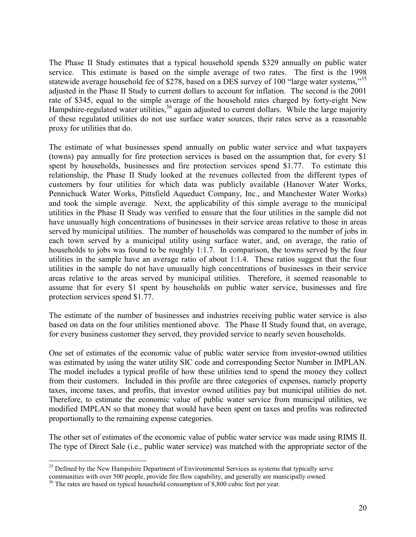The Phase II Study estimates that a typical household spends \$329 annually on public water service. This estimate is based on the simple average of two rates. The first is the 1998 statewide average household fee of \$278, based on a DES survey of 100 "large water systems,"<sup>35</sup> adjusted in the Phase II Study to current dollars to account for inflation. The second is the 2001 rate of \$345, equal to the simple average of the household rates charged by forty-eight New Hampshire-regulated water utilities,<sup>36</sup> again adjusted to current dollars. While the large majority of these regulated utilities do not use surface water sources, their rates serve as a reasonable proxy for utilities that do.

The estimate of what businesses spend annually on public water service and what taxpayers (towns) pay annually for fire protection services is based on the assumption that, for every \$1 spent by households, businesses and fire protection services spend \$1.77. To estimate this relationship, the Phase II Study looked at the revenues collected from the different types of customers by four utilities for which data was publicly available (Hanover Water Works, Pennichuck Water Works, Pittsfield Aqueduct Company, Inc., and Manchester Water Works) and took the simple average. Next, the applicability of this simple average to the municipal utilities in the Phase II Study was verified to ensure that the four utilities in the sample did not have unusually high concentrations of businesses in their service areas relative to those in areas served by municipal utilities. The number of households was compared to the number of jobs in each town served by a municipal utility using surface water, and, on average, the ratio of households to jobs was found to be roughly 1:1.7. In comparison, the towns served by the four utilities in the sample have an average ratio of about 1:1.4. These ratios suggest that the four utilities in the sample do not have unusually high concentrations of businesses in their service areas relative to the areas served by municipal utilities. Therefore, it seemed reasonable to assume that for every \$1 spent by households on public water service, businesses and fire protection services spend \$1.77.

The estimate of the number of businesses and industries receiving public water service is also based on data on the four utilities mentioned above. The Phase II Study found that, on average, for every business customer they served, they provided service to nearly seven households.

One set of estimates of the economic value of public water service from investor-owned utilities was estimated by using the water utility SIC code and corresponding Sector Number in IMPLAN. The model includes a typical profile of how these utilities tend to spend the money they collect from their customers. Included in this profile are three categories of expenses, namely property taxes, income taxes, and profits, that investor owned utilities pay but municipal utilities do not. Therefore, to estimate the economic value of public water service from municipal utilities, we modified IMPLAN so that money that would have been spent on taxes and profits was redirected proportionally to the remaining expense categories.

The other set of estimates of the economic value of public water service was made using RIMS II. The type of Direct Sale (i.e., public water service) was matched with the appropriate sector of the

 $\overline{a}$ <sup>35</sup> Defined by the New Hampshire Department of Environmental Services as systems that typically serve communities with over 500 people, provide fire flow capability, and generally are municipally owned.

<sup>&</sup>lt;sup>36</sup> The rates are based on typical household consumption of 8,800 cubic feet per year.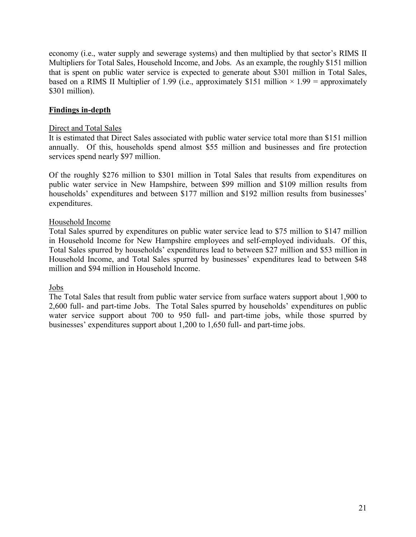<span id="page-25-0"></span>economy (i.e., water supply and sewerage systems) and then multiplied by that sector's RIMS II Multipliers for Total Sales, Household Income, and Jobs. As an example, the roughly \$151 million that is spent on public water service is expected to generate about \$301 million in Total Sales, based on a RIMS II Multiplier of 1.99 (i.e., approximately \$151 million  $\times$  1.99 = approximately \$301 million).

# **Findings in-depth**

# Direct and Total Sales

It is estimated that Direct Sales associated with public water service total more than \$151 million annually. Of this, households spend almost \$55 million and businesses and fire protection services spend nearly \$97 million.

Of the roughly \$276 million to \$301 million in Total Sales that results from expenditures on public water service in New Hampshire, between \$99 million and \$109 million results from households' expenditures and between \$177 million and \$192 million results from businesses' expenditures.

# Household Income

Total Sales spurred by expenditures on public water service lead to \$75 million to \$147 million in Household Income for New Hampshire employees and self-employed individuals. Of this, Total Sales spurred by households' expenditures lead to between \$27 million and \$53 million in Household Income, and Total Sales spurred by businesses' expenditures lead to between \$48 million and \$94 million in Household Income.

# Jobs

The Total Sales that result from public water service from surface waters support about 1,900 to 2,600 full- and part-time Jobs. The Total Sales spurred by households' expenditures on public water service support about 700 to 950 full- and part-time jobs, while those spurred by businesses' expenditures support about 1,200 to 1,650 full- and part-time jobs.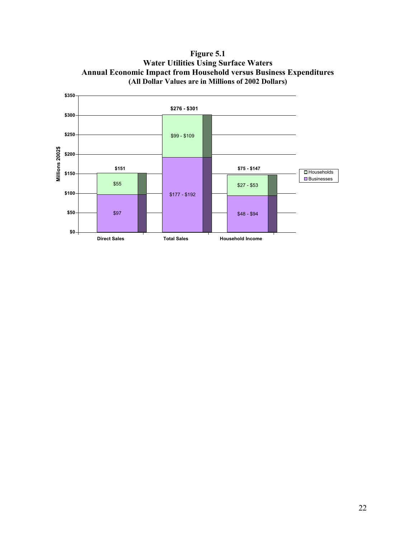**Figure 5.1 Water Utilities Using Surface Waters Annual Economic Impact from Household versus Business Expenditures (All Dollar Values are in Millions of 2002 Dollars)** 

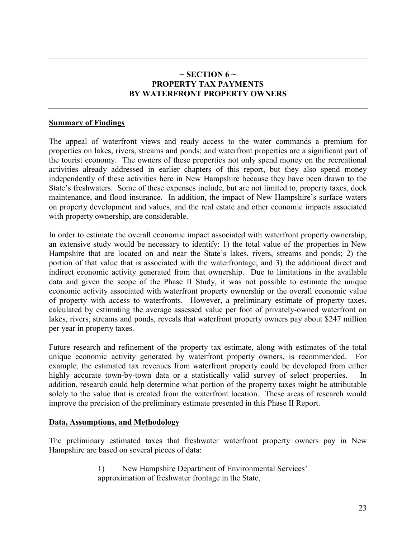# $\sim$  **SECTION 6**  $\sim$ **PROPERTY TAX PAYMENTS BY WATERFRONT PROPERTY OWNERS**

## <span id="page-27-0"></span>**Summary of Findings**

The appeal of waterfront views and ready access to the water commands a premium for properties on lakes, rivers, streams and ponds; and waterfront properties are a significant part of the tourist economy. The owners of these properties not only spend money on the recreational activities already addressed in earlier chapters of this report, but they also spend money independently of these activities here in New Hampshire because they have been drawn to the State's freshwaters. Some of these expenses include, but are not limited to, property taxes, dock maintenance, and flood insurance. In addition, the impact of New Hampshire's surface waters on property development and values, and the real estate and other economic impacts associated with property ownership, are considerable.

In order to estimate the overall economic impact associated with waterfront property ownership, an extensive study would be necessary to identify: 1) the total value of the properties in New Hampshire that are located on and near the State's lakes, rivers, streams and ponds; 2) the portion of that value that is associated with the waterfrontage; and 3) the additional direct and indirect economic activity generated from that ownership. Due to limitations in the available data and given the scope of the Phase II Study, it was not possible to estimate the unique economic activity associated with waterfront property ownership or the overall economic value of property with access to waterfronts. However, a preliminary estimate of property taxes, calculated by estimating the average assessed value per foot of privately-owned waterfront on lakes, rivers, streams and ponds, reveals that waterfront property owners pay about \$247 million per year in property taxes.

Future research and refinement of the property tax estimate, along with estimates of the total unique economic activity generated by waterfront property owners, is recommended. For example, the estimated tax revenues from waterfront property could be developed from either highly accurate town-by-town data or a statistically valid survey of select properties. In addition, research could help determine what portion of the property taxes might be attributable solely to the value that is created from the waterfront location. These areas of research would improve the precision of the preliminary estimate presented in this Phase II Report.

#### **Data, Assumptions, and Methodology**

The preliminary estimated taxes that freshwater waterfront property owners pay in New Hampshire are based on several pieces of data:

> 1) New Hampshire Department of Environmental Services' approximation of freshwater frontage in the State,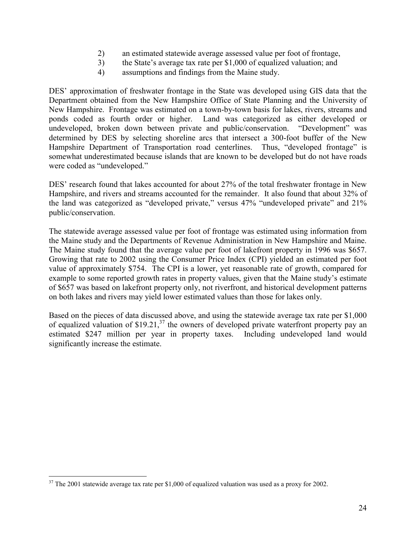- 2) an estimated statewide average assessed value per foot of frontage,
- 3) the State's average tax rate per \$1,000 of equalized valuation; and
- 4) assumptions and findings from the Maine study.

DES' approximation of freshwater frontage in the State was developed using GIS data that the Department obtained from the New Hampshire Office of State Planning and the University of New Hampshire. Frontage was estimated on a town-by-town basis for lakes, rivers, streams and ponds coded as fourth order or higher. Land was categorized as either developed or undeveloped, broken down between private and public/conservation. "Development" was determined by DES by selecting shoreline arcs that intersect a 300-foot buffer of the New Hampshire Department of Transportation road centerlines. Thus, "developed frontage" is somewhat underestimated because islands that are known to be developed but do not have roads were coded as "undeveloped."

DES' research found that lakes accounted for about 27% of the total freshwater frontage in New Hampshire, and rivers and streams accounted for the remainder. It also found that about 32% of the land was categorized as "developed private," versus 47% "undeveloped private" and 21% public/conservation.

The statewide average assessed value per foot of frontage was estimated using information from the Maine study and the Departments of Revenue Administration in New Hampshire and Maine. The Maine study found that the average value per foot of lakefront property in 1996 was \$657. Growing that rate to 2002 using the Consumer Price Index (CPI) yielded an estimated per foot value of approximately \$754. The CPI is a lower, yet reasonable rate of growth, compared for example to some reported growth rates in property values, given that the Maine study's estimate of \$657 was based on lakefront property only, not riverfront, and historical development patterns on both lakes and rivers may yield lower estimated values than those for lakes only.

Based on the pieces of data discussed above, and using the statewide average tax rate per \$1,000 of equalized valuation of  $$19.21$ ,<sup>37</sup> the owners of developed private waterfront property pay an estimated \$247 million per year in property taxes. Including undeveloped land would significantly increase the estimate.

 $\overline{a}$ 

 $37$  The 2001 statewide average tax rate per \$1,000 of equalized valuation was used as a proxy for 2002.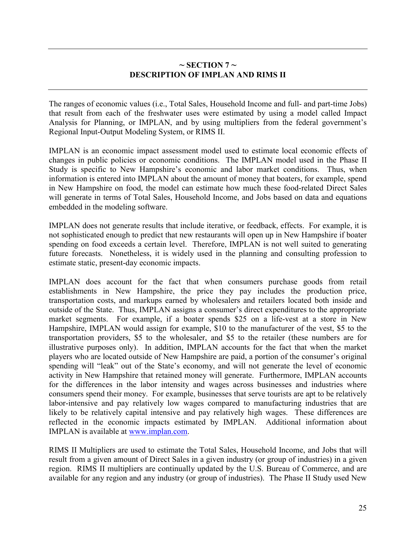# $\sim$  SECTION 7  $\sim$ **DESCRIPTION OF IMPLAN AND RIMS II**

<span id="page-29-0"></span>The ranges of economic values (i.e., Total Sales, Household Income and full- and part-time Jobs) that result from each of the freshwater uses were estimated by using a model called Impact Analysis for Planning, or IMPLAN, and by using multipliers from the federal government's Regional Input-Output Modeling System, or RIMS II.

IMPLAN is an economic impact assessment model used to estimate local economic effects of changes in public policies or economic conditions. The IMPLAN model used in the Phase II Study is specific to New Hampshire's economic and labor market conditions. Thus, when information is entered into IMPLAN about the amount of money that boaters, for example, spend in New Hampshire on food, the model can estimate how much these food-related Direct Sales will generate in terms of Total Sales, Household Income, and Jobs based on data and equations embedded in the modeling software.

IMPLAN does not generate results that include iterative, or feedback, effects. For example, it is not sophisticated enough to predict that new restaurants will open up in New Hampshire if boater spending on food exceeds a certain level. Therefore, IMPLAN is not well suited to generating future forecasts. Nonetheless, it is widely used in the planning and consulting profession to estimate static, present-day economic impacts.

IMPLAN does account for the fact that when consumers purchase goods from retail establishments in New Hampshire, the price they pay includes the production price, transportation costs, and markups earned by wholesalers and retailers located both inside and outside of the State. Thus, IMPLAN assigns a consumer's direct expenditures to the appropriate market segments. For example, if a boater spends \$25 on a life-vest at a store in New Hampshire, IMPLAN would assign for example, \$10 to the manufacturer of the vest, \$5 to the transportation providers, \$5 to the wholesaler, and \$5 to the retailer (these numbers are for illustrative purposes only). In addition, IMPLAN accounts for the fact that when the market players who are located outside of New Hampshire are paid, a portion of the consumer's original spending will "leak" out of the State's economy, and will not generate the level of economic activity in New Hampshire that retained money will generate. Furthermore, IMPLAN accounts for the differences in the labor intensity and wages across businesses and industries where consumers spend their money. For example, businesses that serve tourists are apt to be relatively labor-intensive and pay relatively low wages compared to manufacturing industries that are likely to be relatively capital intensive and pay relatively high wages. These differences are reflected in the economic impacts estimated by IMPLAN. Additional information about IMPLAN is available at [www.implan.com.](http://www.implan.com/)

RIMS II Multipliers are used to estimate the Total Sales, Household Income, and Jobs that will result from a given amount of Direct Sales in a given industry (or group of industries) in a given region. RIMS II multipliers are continually updated by the U.S. Bureau of Commerce, and are available for any region and any industry (or group of industries). The Phase II Study used New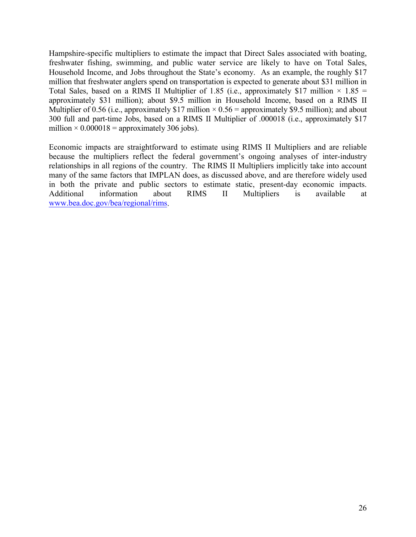Hampshire-specific multipliers to estimate the impact that Direct Sales associated with boating, freshwater fishing, swimming, and public water service are likely to have on Total Sales, Household Income, and Jobs throughout the State's economy. As an example, the roughly \$17 million that freshwater anglers spend on transportation is expected to generate about \$31 million in Total Sales, based on a RIMS II Multiplier of 1.85 (i.e., approximately \$17 million  $\times$  1.85 = approximately \$31 million); about \$9.5 million in Household Income, based on a RIMS II Multiplier of 0.56 (i.e., approximately \$17 million  $\times$  0.56 = approximately \$9.5 million); and about 300 full and part-time Jobs, based on a RIMS II Multiplier of .000018 (i.e., approximately \$17 million  $\times$  0.000018 = approximately 306 jobs).

Economic impacts are straightforward to estimate using RIMS II Multipliers and are reliable because the multipliers reflect the federal government's ongoing analyses of inter-industry relationships in all regions of the country. The RIMS II Multipliers implicitly take into account many of the same factors that IMPLAN does, as discussed above, and are therefore widely used in both the private and public sectors to estimate static, present-day economic impacts. Additional information about RIMS II Multipliers is available at [www.bea.doc.gov/bea/regional/rims.](http://www.bea.doc.gov/bea/regional/rims)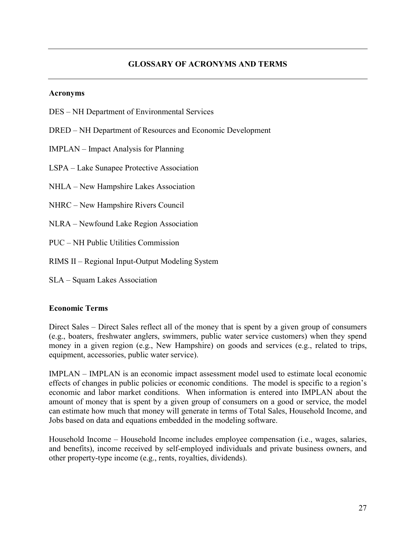# **GLOSSARY OF ACRONYMS AND TERMS**

#### <span id="page-31-0"></span>**Acronyms**

- DES NH Department of Environmental Services
- DRED NH Department of Resources and Economic Development
- IMPLAN Impact Analysis for Planning
- LSPA Lake Sunapee Protective Association
- NHLA New Hampshire Lakes Association
- NHRC New Hampshire Rivers Council
- NLRA Newfound Lake Region Association
- PUC NH Public Utilities Commission
- RIMS II Regional Input-Output Modeling System
- SLA Squam Lakes Association

#### **Economic Terms**

Direct Sales – Direct Sales reflect all of the money that is spent by a given group of consumers (e.g., boaters, freshwater anglers, swimmers, public water service customers) when they spend money in a given region (e.g., New Hampshire) on goods and services (e.g., related to trips, equipment, accessories, public water service).

IMPLAN – IMPLAN is an economic impact assessment model used to estimate local economic effects of changes in public policies or economic conditions. The model is specific to a region's economic and labor market conditions. When information is entered into IMPLAN about the amount of money that is spent by a given group of consumers on a good or service, the model can estimate how much that money will generate in terms of Total Sales, Household Income, and Jobs based on data and equations embedded in the modeling software.

Household Income – Household Income includes employee compensation (i.e., wages, salaries, and benefits), income received by self-employed individuals and private business owners, and other property-type income (e.g., rents, royalties, dividends).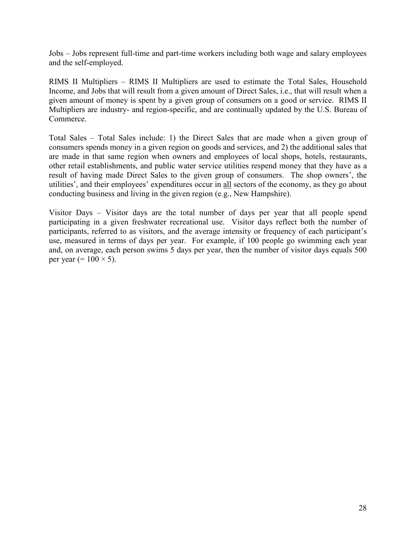Jobs – Jobs represent full-time and part-time workers including both wage and salary employees and the self-employed.

RIMS II Multipliers – RIMS II Multipliers are used to estimate the Total Sales, Household Income, and Jobs that will result from a given amount of Direct Sales, i.e., that will result when a given amount of money is spent by a given group of consumers on a good or service. RIMS II Multipliers are industry- and region-specific, and are continually updated by the U.S. Bureau of Commerce.

Total Sales – Total Sales include: 1) the Direct Sales that are made when a given group of consumers spends money in a given region on goods and services, and 2) the additional sales that are made in that same region when owners and employees of local shops, hotels, restaurants, other retail establishments, and public water service utilities respend money that they have as a result of having made Direct Sales to the given group of consumers. The shop owners', the utilities', and their employees' expenditures occur in all sectors of the economy, as they go about conducting business and living in the given region (e.g., New Hampshire).

Visitor Days – Visitor days are the total number of days per year that all people spend participating in a given freshwater recreational use. Visitor days reflect both the number of participants, referred to as visitors, and the average intensity or frequency of each participant's use, measured in terms of days per year. For example, if 100 people go swimming each year and, on average, each person swims 5 days per year, then the number of visitor days equals 500 per year (=  $100 \times 5$ ).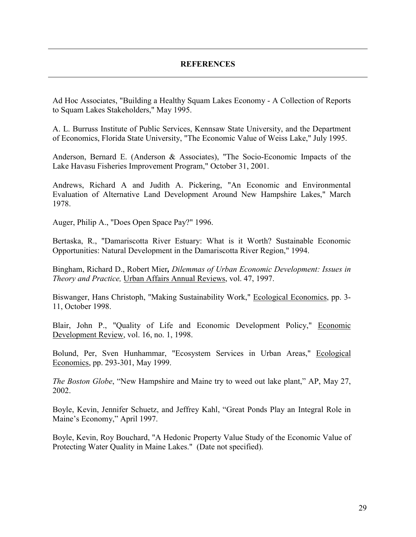#### **REFERENCES**

<span id="page-33-0"></span>Ad Hoc Associates, "Building a Healthy Squam Lakes Economy - A Collection of Reports to Squam Lakes Stakeholders," May 1995.

A. L. Burruss Institute of Public Services, Kennsaw State University, and the Department of Economics, Florida State University, "The Economic Value of Weiss Lake," July 1995.

Anderson, Bernard E. (Anderson & Associates), "The Socio-Economic Impacts of the Lake Havasu Fisheries Improvement Program," October 31, 2001.

Andrews, Richard A and Judith A. Pickering, "An Economic and Environmental Evaluation of Alternative Land Development Around New Hampshire Lakes," March 1978.

Auger, Philip A., "Does Open Space Pay?" 1996.

Bertaska, R., "Damariscotta River Estuary: What is it Worth? Sustainable Economic Opportunities: Natural Development in the Damariscotta River Region," 1994.

Bingham, Richard D., Robert Mier*, Dilemmas of Urban Economic Development: Issues in Theory and Practice,* Urban Affairs Annual Reviews, vol. 47, 1997.

Biswanger, Hans Christoph, "Making Sustainability Work," Ecological Economics, pp. 3- 11, October 1998.

Blair, John P., "Quality of Life and Economic Development Policy," Economic Development Review, vol. 16, no. 1, 1998.

Bolund, Per, Sven Hunhammar, "Ecosystem Services in Urban Areas," Ecological Economics, pp. 293-301, May 1999.

*The Boston Globe*, "New Hampshire and Maine try to weed out lake plant," AP, May 27, 2002.

Boyle, Kevin, Jennifer Schuetz, and Jeffrey Kahl, "Great Ponds Play an Integral Role in Maine's Economy," April 1997.

Boyle, Kevin, Roy Bouchard, "A Hedonic Property Value Study of the Economic Value of Protecting Water Quality in Maine Lakes." (Date not specified).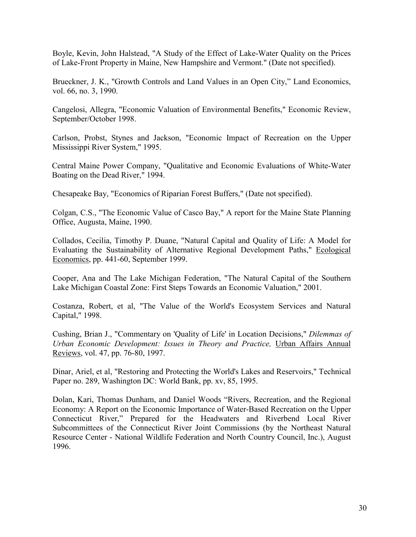Boyle, Kevin, John Halstead, "A Study of the Effect of Lake-Water Quality on the Prices of Lake-Front Property in Maine, New Hampshire and Vermont." (Date not specified).

Brueckner, J. K., "Growth Controls and Land Values in an Open City," Land Economics, vol. 66, no. 3, 1990.

Cangelosi, Allegra, "Economic Valuation of Environmental Benefits," Economic Review, September/October 1998.

Carlson, Probst, Stynes and Jackson, "Economic Impact of Recreation on the Upper Mississippi River System," 1995.

Central Maine Power Company, "Qualitative and Economic Evaluations of White-Water Boating on the Dead River," 1994.

Chesapeake Bay, "Economics of Riparian Forest Buffers," (Date not specified).

Colgan, C.S., "The Economic Value of Casco Bay," A report for the Maine State Planning Office, Augusta, Maine, 1990.

Collados, Cecilia, Timothy P. Duane, "Natural Capital and Quality of Life: A Model for Evaluating the Sustainability of Alternative Regional Development Paths," Ecological Economics, pp. 441-60, September 1999.

Cooper, Ana and The Lake Michigan Federation, "The Natural Capital of the Southern Lake Michigan Coastal Zone: First Steps Towards an Economic Valuation," 2001.

Costanza, Robert, et al, "The Value of the World's Ecosystem Services and Natural Capital," 1998.

Cushing, Brian J., "Commentary on 'Quality of Life' in Location Decisions," *Dilemmas of Urban Economic Development: Issues in Theory and Practice,* Urban Affairs Annual Reviews, vol. 47, pp. 76-80, 1997.

Dinar, Ariel, et al, "Restoring and Protecting the World's Lakes and Reservoirs," Technical Paper no. 289, Washington DC: World Bank, pp. xv, 85, 1995.

Dolan, Kari, Thomas Dunham, and Daniel Woods "Rivers, Recreation, and the Regional Economy: A Report on the Economic Importance of Water-Based Recreation on the Upper Connecticut River," Prepared for the Headwaters and Riverbend Local River Subcommittees of the Connecticut River Joint Commissions (by the Northeast Natural Resource Center - National Wildlife Federation and North Country Council, Inc.), August 1996.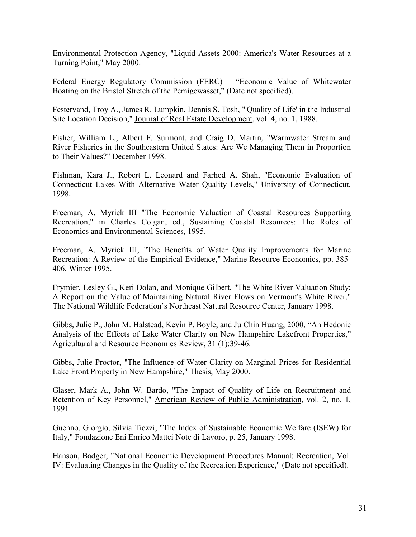Environmental Protection Agency, "Liquid Assets 2000: America's Water Resources at a Turning Point," May 2000.

Federal Energy Regulatory Commission (FERC) – "Economic Value of Whitewater Boating on the Bristol Stretch of the Pemigewasset," (Date not specified).

Festervand, Troy A., James R. Lumpkin, Dennis S. Tosh, "'Quality of Life' in the Industrial Site Location Decision," Journal of Real Estate Development, vol. 4, no. 1, 1988.

Fisher, William L., Albert F. Surmont, and Craig D. Martin, "Warmwater Stream and River Fisheries in the Southeastern United States: Are We Managing Them in Proportion to Their Values?" December 1998.

Fishman, Kara J., Robert L. Leonard and Farhed A. Shah, "Economic Evaluation of Connecticut Lakes With Alternative Water Quality Levels," University of Connecticut, 1998.

Freeman, A. Myrick III "The Economic Valuation of Coastal Resources Supporting Recreation," in Charles Colgan, ed., Sustaining Coastal Resources: The Roles of Economics and Environmental Sciences, 1995.

Freeman, A. Myrick III, "The Benefits of Water Quality Improvements for Marine Recreation: A Review of the Empirical Evidence," Marine Resource Economics, pp. 385- 406, Winter 1995.

Frymier, Lesley G., Keri Dolan, and Monique Gilbert, "The White River Valuation Study: A Report on the Value of Maintaining Natural River Flows on Vermont's White River," The National Wildlife Federation's Northeast Natural Resource Center, January 1998.

Gibbs, Julie P., John M. Halstead, Kevin P. Boyle, and Ju Chin Huang, 2000, "An Hedonic Analysis of the Effects of Lake Water Clarity on New Hampshire Lakefront Properties," Agricultural and Resource Economics Review, 31 (1):39-46.

Gibbs, Julie Proctor, "The Influence of Water Clarity on Marginal Prices for Residential Lake Front Property in New Hampshire," Thesis, May 2000.

Glaser, Mark A., John W. Bardo, "The Impact of Quality of Life on Recruitment and Retention of Key Personnel," American Review of Public Administration, vol. 2, no. 1, 1991.

Guenno, Giorgio, Silvia Tiezzi, "The Index of Sustainable Economic Welfare (ISEW) for Italy," Fondazione Eni Enrico Mattei Note di Lavoro, p. 25, January 1998.

Hanson, Badger, "National Economic Development Procedures Manual: Recreation, Vol. IV: Evaluating Changes in the Quality of the Recreation Experience," (Date not specified).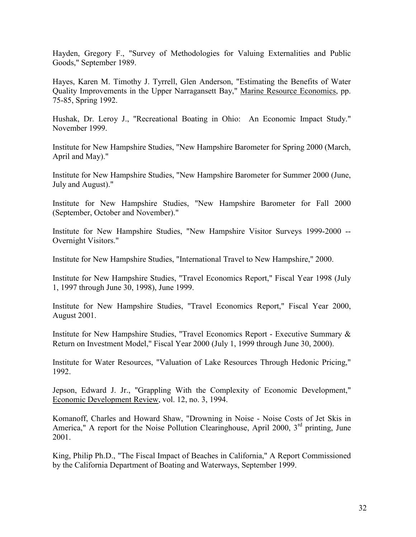Hayden, Gregory F., "Survey of Methodologies for Valuing Externalities and Public Goods," September 1989.

Hayes, Karen M. Timothy J. Tyrrell, Glen Anderson, "Estimating the Benefits of Water Quality Improvements in the Upper Narragansett Bay," Marine Resource Economics, pp. 75-85, Spring 1992.

Hushak, Dr. Leroy J., "Recreational Boating in Ohio: An Economic Impact Study." November 1999.

Institute for New Hampshire Studies, "New Hampshire Barometer for Spring 2000 (March, April and May)."

Institute for New Hampshire Studies, "New Hampshire Barometer for Summer 2000 (June, July and August)."

Institute for New Hampshire Studies, "New Hampshire Barometer for Fall 2000 (September, October and November)."

Institute for New Hampshire Studies, "New Hampshire Visitor Surveys 1999-2000 -- Overnight Visitors."

Institute for New Hampshire Studies, "International Travel to New Hampshire," 2000.

Institute for New Hampshire Studies, "Travel Economics Report," Fiscal Year 1998 (July 1, 1997 through June 30, 1998), June 1999.

Institute for New Hampshire Studies, "Travel Economics Report," Fiscal Year 2000, August 2001.

Institute for New Hampshire Studies, "Travel Economics Report - Executive Summary & Return on Investment Model," Fiscal Year 2000 (July 1, 1999 through June 30, 2000).

Institute for Water Resources, "Valuation of Lake Resources Through Hedonic Pricing," 1992.

Jepson, Edward J. Jr., "Grappling With the Complexity of Economic Development," Economic Development Review, vol. 12, no. 3, 1994.

Komanoff, Charles and Howard Shaw, "Drowning in Noise - Noise Costs of Jet Skis in America," A report for the Noise Pollution Clearinghouse, April 2000,  $3<sup>rd</sup>$  printing, June 2001.

King, Philip Ph.D., "The Fiscal Impact of Beaches in California," A Report Commissioned by the California Department of Boating and Waterways, September 1999.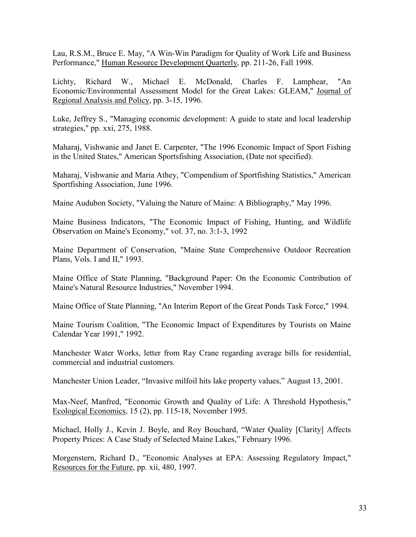Lau, R.S.M., Bruce E. May, "A Win-Win Paradigm for Quality of Work Life and Business Performance," Human Resource Development Quarterly, pp. 211-26, Fall 1998.

Lichty, Richard W., Michael E. McDonald, Charles F. Lamphear, "An Economic/Environmental Assessment Model for the Great Lakes: GLEAM," Journal of Regional Analysis and Policy, pp. 3-15, 1996.

Luke, Jeffrey S., "Managing economic development: A guide to state and local leadership strategies," pp. xxi, 275, 1988.

Maharaj, Vishwanie and Janet E. Carpenter, "The 1996 Economic Impact of Sport Fishing in the United States," American Sportsfishing Association, (Date not specified).

Maharaj, Vishwanie and Maria Athey, "Compendium of Sportfishing Statistics," American Sportfishing Association, June 1996.

Maine Audubon Society, "Valuing the Nature of Maine: A Bibliography," May 1996.

Maine Business Indicators, "The Economic Impact of Fishing, Hunting, and Wildlife Observation on Maine's Economy," vol. 37, no. 3:1-3, 1992

Maine Department of Conservation, "Maine State Comprehensive Outdoor Recreation Plans, Vols. I and II," 1993.

Maine Office of State Planning, "Background Paper: On the Economic Contribution of Maine's Natural Resource Industries," November 1994.

Maine Office of State Planning, "An Interim Report of the Great Ponds Task Force," 1994.

Maine Tourism Coalition, "The Economic Impact of Expenditures by Tourists on Maine Calendar Year 1991," 1992.

Manchester Water Works, letter from Ray Crane regarding average bills for residential, commercial and industrial customers.

Manchester Union Leader, "Invasive milfoil hits lake property values," August 13, 2001.

Max-Neef, Manfred, "Economic Growth and Quality of Life: A Threshold Hypothesis," Ecological Economics, 15 (2), pp. 115-18, November 1995.

Michael, Holly J., Kevin J. Boyle, and Roy Bouchard, "Water Quality [Clarity] Affects Property Prices: A Case Study of Selected Maine Lakes," February 1996.

Morgenstern, Richard D., "Economic Analyses at EPA: Assessing Regulatory Impact," Resources for the Future, pp. xii, 480, 1997.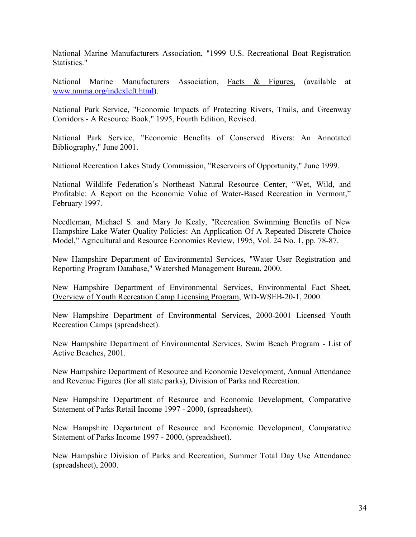National Marine Manufacturers Association, "1999 U.S. Recreational Boat Registration Statistics."

National Marine Manufacturers Association, Facts & Figures, (available at [www.nmma.org/indexleft.html\)](http://www.nmma.org/indexleft.html).

National Park Service, "Economic Impacts of Protecting Rivers, Trails, and Greenway Corridors - A Resource Book," 1995, Fourth Edition, Revised.

National Park Service, "Economic Benefits of Conserved Rivers: An Annotated Bibliography," June 2001.

National Recreation Lakes Study Commission, "Reservoirs of Opportunity," June 1999.

National Wildlife Federation's Northeast Natural Resource Center, "Wet, Wild, and Profitable: A Report on the Economic Value of Water-Based Recreation in Vermont," February 1997.

Needleman, Michael S. and Mary Jo Kealy, "Recreation Swimming Benefits of New Hampshire Lake Water Quality Policies: An Application Of A Repeated Discrete Choice Model," Agricultural and Resource Economics Review, 1995, Vol. 24 No. 1, pp. 78-87.

New Hampshire Department of Environmental Services, "Water User Registration and Reporting Program Database," Watershed Management Bureau, 2000.

New Hampshire Department of Environmental Services, Environmental Fact Sheet, Overview of Youth Recreation Camp Licensing Program, WD-WSEB-20-1, 2000.

New Hampshire Department of Environmental Services, 2000-2001 Licensed Youth Recreation Camps (spreadsheet).

New Hampshire Department of Environmental Services, Swim Beach Program - List of Active Beaches, 2001.

New Hampshire Department of Resource and Economic Development, Annual Attendance and Revenue Figures (for all state parks), Division of Parks and Recreation.

New Hampshire Department of Resource and Economic Development, Comparative Statement of Parks Retail Income 1997 - 2000, (spreadsheet).

New Hampshire Department of Resource and Economic Development, Comparative Statement of Parks Income 1997 - 2000, (spreadsheet).

New Hampshire Division of Parks and Recreation, Summer Total Day Use Attendance (spreadsheet), 2000.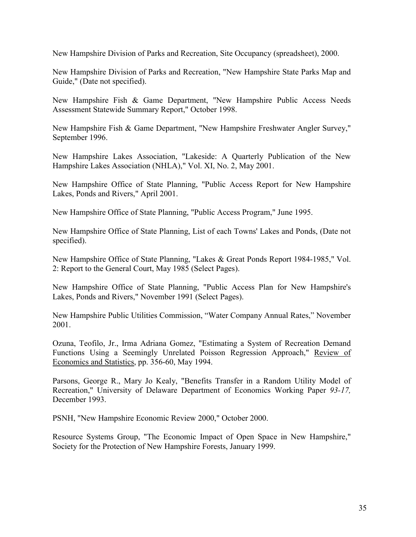New Hampshire Division of Parks and Recreation, Site Occupancy (spreadsheet), 2000.

New Hampshire Division of Parks and Recreation, "New Hampshire State Parks Map and Guide," (Date not specified).

New Hampshire Fish & Game Department, "New Hampshire Public Access Needs Assessment Statewide Summary Report," October 1998.

New Hampshire Fish & Game Department, "New Hampshire Freshwater Angler Survey," September 1996.

New Hampshire Lakes Association, "Lakeside: A Quarterly Publication of the New Hampshire Lakes Association (NHLA)," Vol. XI, No. 2, May 2001.

New Hampshire Office of State Planning, "Public Access Report for New Hampshire Lakes, Ponds and Rivers," April 2001.

New Hampshire Office of State Planning, "Public Access Program," June 1995.

New Hampshire Office of State Planning, List of each Towns' Lakes and Ponds, (Date not specified).

New Hampshire Office of State Planning, "Lakes & Great Ponds Report 1984-1985," Vol. 2: Report to the General Court, May 1985 (Select Pages).

New Hampshire Office of State Planning, "Public Access Plan for New Hampshire's Lakes, Ponds and Rivers," November 1991 (Select Pages).

New Hampshire Public Utilities Commission, "Water Company Annual Rates," November 2001.

Ozuna, Teofilo, Jr., Irma Adriana Gomez, "Estimating a System of Recreation Demand Functions Using a Seemingly Unrelated Poisson Regression Approach," Review of Economics and Statistics, pp. 356-60, May 1994.

Parsons, George R., Mary Jo Kealy, "Benefits Transfer in a Random Utility Model of Recreation," University of Delaware Department of Economics Working Paper *93-17,*  December 1993.

PSNH, "New Hampshire Economic Review 2000," October 2000.

Resource Systems Group, "The Economic Impact of Open Space in New Hampshire," Society for the Protection of New Hampshire Forests, January 1999.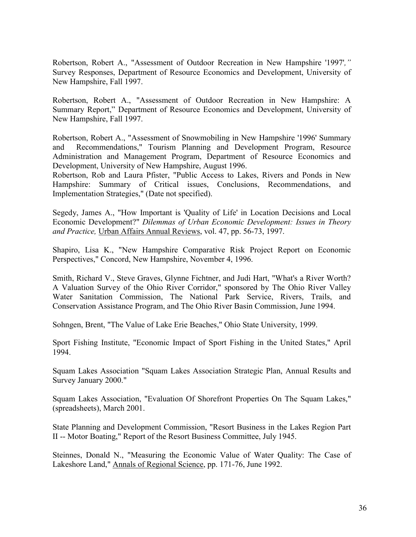Robertson, Robert A., "Assessment of Outdoor Recreation in New Hampshire '1997'*,"* Survey Responses, Department of Resource Economics and Development, University of New Hampshire, Fall 1997.

Robertson, Robert A., "Assessment of Outdoor Recreation in New Hampshire: A Summary Report," Department of Resource Economics and Development, University of New Hampshire, Fall 1997.

Robertson, Robert A., "Assessment of Snowmobiling in New Hampshire '1996' Summary and Recommendations," Tourism Planning and Development Program, Resource Administration and Management Program, Department of Resource Economics and Development, University of New Hampshire, August 1996.

Robertson, Rob and Laura Pfister, "Public Access to Lakes, Rivers and Ponds in New Hampshire: Summary of Critical issues, Conclusions, Recommendations, and Implementation Strategies," (Date not specified).

Segedy, James A., "How Important is 'Quality of Life' in Location Decisions and Local Economic Development?" *Dilemmas of Urban Economic Development: Issues in Theory and Practice,* Urban Affairs Annual Reviews, vol. 47, pp. 56-73, 1997.

Shapiro, Lisa K., "New Hampshire Comparative Risk Project Report on Economic Perspectives," Concord, New Hampshire, November 4, 1996.

Smith, Richard V., Steve Graves, Glynne Fichtner, and Judi Hart, "What's a River Worth? A Valuation Survey of the Ohio River Corridor," sponsored by The Ohio River Valley Water Sanitation Commission, The National Park Service, Rivers, Trails, and Conservation Assistance Program, and The Ohio River Basin Commission, June 1994.

Sohngen, Brent, "The Value of Lake Erie Beaches," Ohio State University, 1999.

Sport Fishing Institute, "Economic Impact of Sport Fishing in the United States," April 1994.

Squam Lakes Association "Squam Lakes Association Strategic Plan, Annual Results and Survey January 2000."

Squam Lakes Association, "Evaluation Of Shorefront Properties On The Squam Lakes," (spreadsheets), March 2001.

State Planning and Development Commission, "Resort Business in the Lakes Region Part II -- Motor Boating," Report of the Resort Business Committee, July 1945.

Steinnes, Donald N., "Measuring the Economic Value of Water Quality: The Case of Lakeshore Land," Annals of Regional Science, pp. 171-76, June 1992.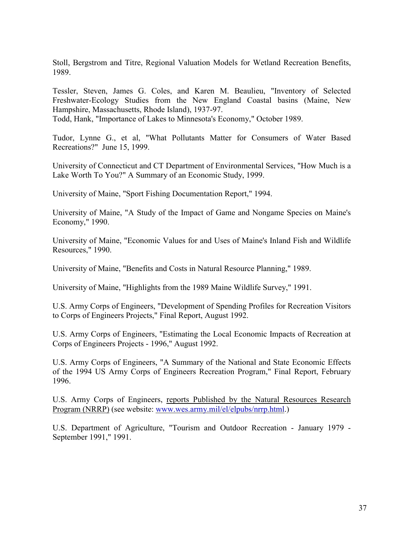Stoll, Bergstrom and Titre, Regional Valuation Models for Wetland Recreation Benefits, 1989.

Tessler, Steven, James G. Coles, and Karen M. Beaulieu, "Inventory of Selected Freshwater-Ecology Studies from the New England Coastal basins (Maine, New Hampshire, Massachusetts, Rhode Island), 1937-97.

Todd, Hank, "Importance of Lakes to Minnesota's Economy," October 1989.

Tudor, Lynne G., et al, "What Pollutants Matter for Consumers of Water Based Recreations?" June 15, 1999.

University of Connecticut and CT Department of Environmental Services, "How Much is a Lake Worth To You?" A Summary of an Economic Study, 1999.

University of Maine, "Sport Fishing Documentation Report," 1994.

University of Maine, "A Study of the Impact of Game and Nongame Species on Maine's Economy," 1990.

University of Maine, "Economic Values for and Uses of Maine's Inland Fish and Wildlife Resources," 1990.

University of Maine, "Benefits and Costs in Natural Resource Planning," 1989.

University of Maine, "Highlights from the 1989 Maine Wildlife Survey," 1991.

U.S. Army Corps of Engineers, "Development of Spending Profiles for Recreation Visitors to Corps of Engineers Projects," Final Report, August 1992.

U.S. Army Corps of Engineers, "Estimating the Local Economic Impacts of Recreation at Corps of Engineers Projects - 1996," August 1992.

U.S. Army Corps of Engineers, "A Summary of the National and State Economic Effects of the 1994 US Army Corps of Engineers Recreation Program," Final Report, February 1996.

U.S. Army Corps of Engineers, reports Published by the Natural Resources Research Program (NRRP) (see website: [www.wes.army.mil/el/elpubs/nrrp.html.](http://www.wes.army.mil/el/elpubs/nrrp.html))

U.S. Department of Agriculture, "Tourism and Outdoor Recreation - January 1979 - September 1991," 1991.